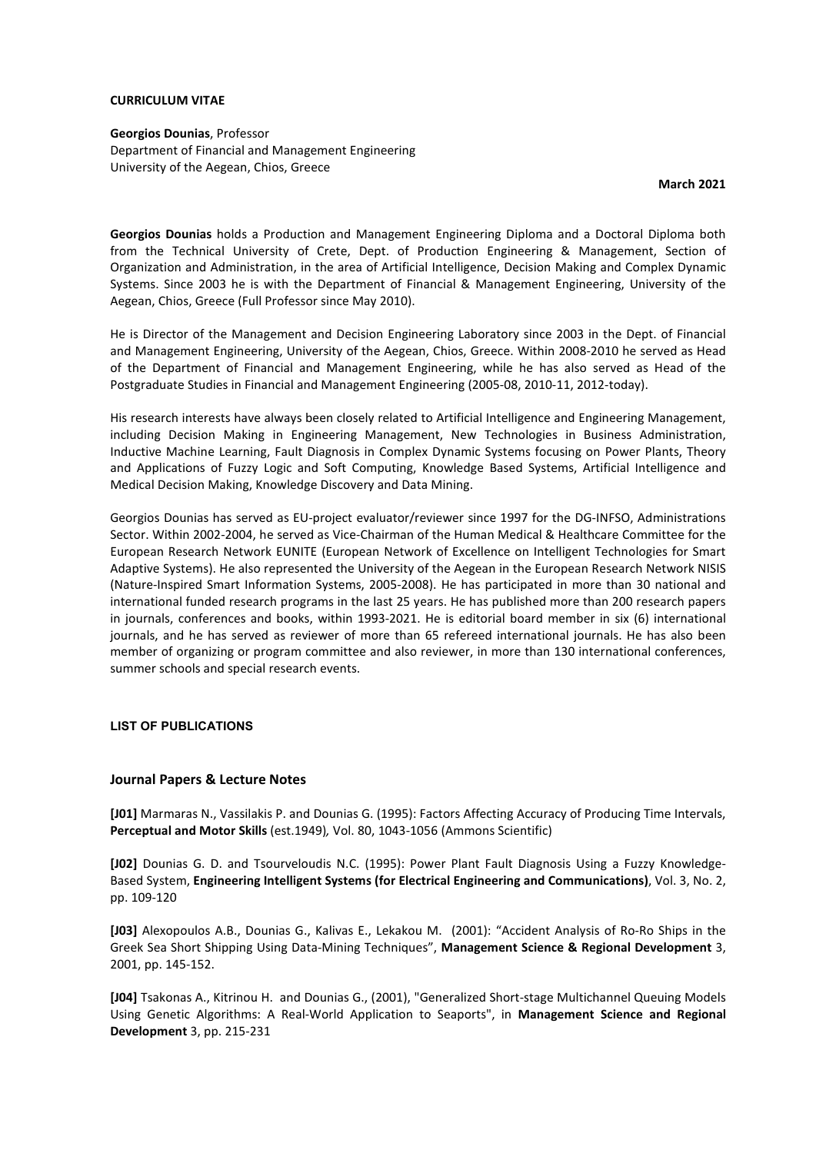### **CURRICULUM VITAE**

**Georgios Dounias**, Professor Department of Financial and Management Engineering University of the Aegean, Chios, Greece

**March 2021**

**Georgios Dounias** holds a Production and Management Engineering Diploma and a Doctoral Diploma both from the Technical University of Crete, Dept. of Production Engineering & Management, Section of Organization and Administration, in the area of Artificial Intelligence, Decision Making and Complex Dynamic Systems. Since 2003 he is with the Department of Financial & Management Engineering, University of the Aegean, Chios, Greece (Full Professor since May 2010).

He is Director of the Management and Decision Engineering Laboratory since 2003 in the Dept. of Financial and Management Engineering, University of the Aegean, Chios, Greece. Within 2008-2010 he served as Head of the Department of Financial and Management Engineering, while he has also served as Head of the Postgraduate Studies in Financial and Management Engineering (2005-08, 2010-11, 2012-today).

His research interests have always been closely related to Artificial Intelligence and Engineering Management, including Decision Making in Engineering Management, New Technologies in Business Administration, Inductive Machine Learning, Fault Diagnosis in Complex Dynamic Systems focusing on Power Plants, Theory and Applications of Fuzzy Logic and Soft Computing, Knowledge Based Systems, Artificial Intelligence and Medical Decision Making, Knowledge Discovery and Data Mining.

Georgios Dounias has served as EU-project evaluator/reviewer since 1997 for the DG-INFSO, Administrations Sector. Within 2002-2004, he served as Vice-Chairman of the Human Medical & Healthcare Committee for the European Research Network EUNITE (European Network of Excellence on Intelligent Technologies for Smart Adaptive Systems). He also represented the University of the Aegean in the European Research Network NISIS (Nature-Inspired Smart Information Systems, 2005-2008). He has participated in more than 30 national and international funded research programs in the last 25 years. He has published more than 200 research papers in journals, conferences and books, within 1993-2021. He is editorial board member in six (6) international journals, and he has served as reviewer of more than 65 refereed international journals. He has also been member of organizing or program committee and also reviewer, in more than 130 international conferences, summer schools and special research events.

#### **LIST OF PUBLICATIONS**

#### **Journal Papers & Lecture Notes**

**[J01]** Marmaras N., Vassilakis P. and Dounias G. (1995): Factors Affecting Accuracy of Producing Time Intervals, **Perceptual and Motor Skills** (est.1949)*,* Vol. 80, 1043-1056 (Ammons Scientific)

**[J02]** Dounias G. D. and Tsourveloudis N.C. (1995): Power Plant Fault Diagnosis Using a Fuzzy Knowledge-Based System, **Engineering Intelligent Systems (for Electrical Engineering and Communications)**, Vol. 3, No. 2, pp. 109-120

**[J03]** Alexopoulos A.B., Dounias G., Kalivas E., Lekakou M. (2001): "Accident Analysis of Ro-Ro Ships in the Greek Sea Short Shipping Using Data-Mining Techniques", **Management Science & Regional Development** 3, 2001, pp. 145-152.

**[J04]** Tsakonas A., Kitrinou H. and Dounias G., (2001), "Generalized Short-stage Multichannel Queuing Models Using Genetic Algorithms: A Real-World Application to Seaports", in **Management Science and Regional Development** 3, pp. 215-231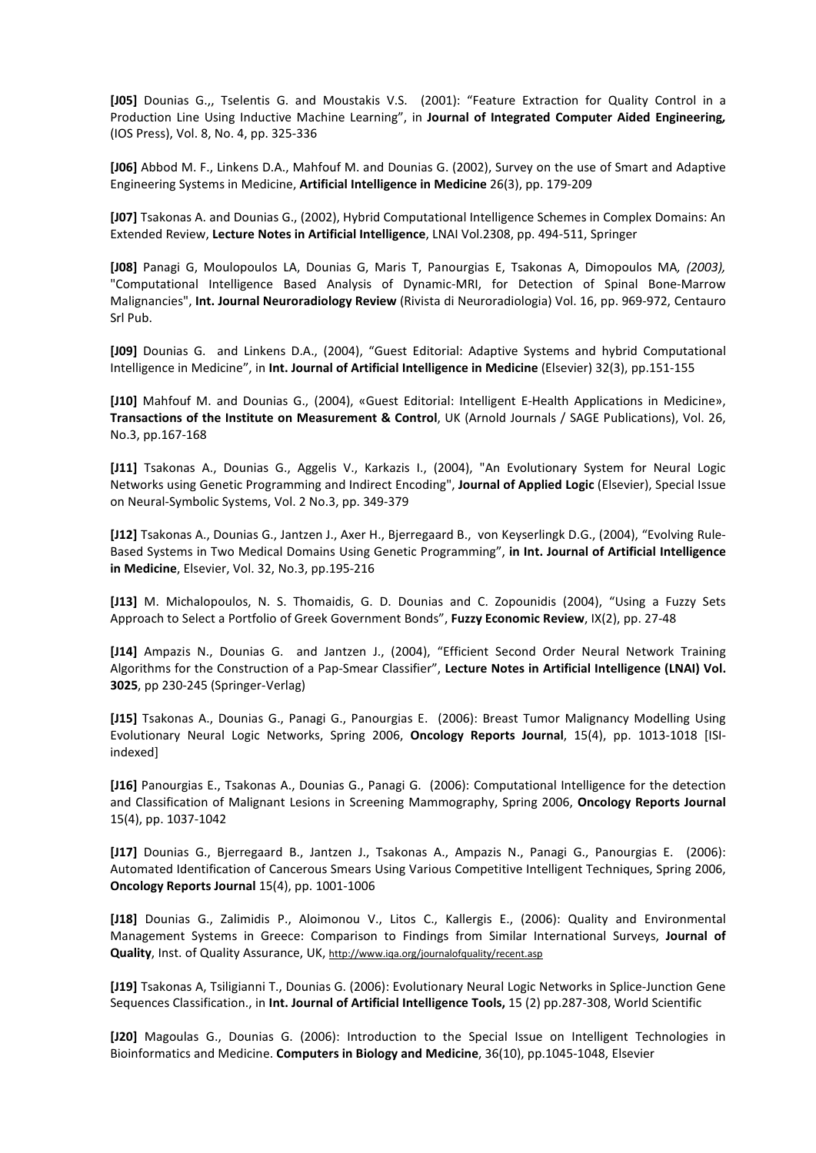**[J05]** Dounias G.,, Tselentis G. and Moustakis V.S. (2001): "Feature Extraction for Quality Control in a Production Line Using Inductive Machine Learning", in **Journal of Integrated Computer Aided Engineering***,* (IOS Press), Vol. 8, No. 4, pp. 325-336

**[J06]** Abbod M. F., Linkens D.A., Mahfouf M. and Dounias G. (2002), Survey on the use of Smart and Adaptive Engineering Systems in Medicine, **Artificial Intelligence in Medicine** 26(3), pp. 179-209

**[J07]** Tsakonas A. and Dounias G., (2002), Hybrid Computational Intelligence Schemes in Complex Domains: An Extended Review, **Lecture Notes in Artificial Intelligence**, LNAI Vol.2308, pp. 494-511, Springer

**[J08]** Panagi G, Moulopoulos LA, Dounias G, Maris T, Panourgias E, Tsakonas A, Dimopoulos MA*, (2003),*  "Computational Intelligence Based Analysis of Dynamic-MRI, for Detection of Spinal Bone-Marrow Malignancies", **Int. Journal Neuroradiology Review** (Rivista di Neuroradiologia) Vol. 16, pp. 969-972, Centauro Srl Pub.

**[J09]** Dounias G. and Linkens D.A., (2004), "Guest Editorial: Adaptive Systems and hybrid Computational Intelligence in Medicine", in **Int. Journal of Artificial Intelligence in Medicine** (Elsevier) 32(3), pp.151-155

**[J10]** Mahfouf M. and Dounias G., (2004), «Guest Editorial: Intelligent E-Health Applications in Medicine», **Transactions of the Institute on Measurement & Control**, UK (Arnold Journals / SAGE Publications), Vol. 26, No.3, pp.167-168

**[J11]** Tsakonas A., Dounias G., Aggelis V., Karkazis I., (2004), "An Evolutionary System for Neural Logic Networks using Genetic Programming and Indirect Encoding", **Journal of Applied Logic** (Elsevier), Special Issue on Neural-Symbolic Systems, Vol. 2 No.3, pp. 349-379

**[J12]** Tsakonas Α., Dounias G., Jantzen J., Axer H., Bjerregaard B., von Keyserlingk D.G., (2004), "Evolving Rule-Based Systems in Two Medical Domains Using Genetic Programming", **in Int. Journal of Artificial Intelligence in Medicine**, Elsevier, Vol. 32, No.3, pp.195-216

**[J13]** M. Michalopoulos, N. S. Thomaidis, G. D. Dounias and C. Zopounidis (2004), "Using a Fuzzy Sets Approach to Select a Portfolio of Greek Government Bonds", **Fuzzy Economic Review**, IX(2), pp. 27-48

**[J14]** Ampazis N., Dounias G. and Jantzen J., (2004), "Efficient Second Order Neural Network Training Algorithms for the Construction of a Pap-Smear Classifier", **Lecture Notes in Artificial Intelligence (LNAI) Vol. 3025**, pp 230-245 (Springer-Verlag)

**[J15]** Tsakonas Α., Dounias G., Panagi G., Panourgias E. (2006): Breast Tumor Malignancy Modelling Using Evolutionary Neural Logic Networks, Spring 2006, **Oncology Reports Journal**, 15(4), pp. 1013-1018 [ISIindexed]

**[J16]** Panourgias E., Tsakonas A., Dounias G., Panagi G. (2006): Computational Intelligence for the detection and Classification of Malignant Lesions in Screening Mammography, Spring 2006, **Oncology Reports Journal** 15(4), pp. 1037-1042

**[J17]** Dounias G., Bjerregaard B., Jantzen J., Tsakonas A., Ampazis N., Panagi G., Panourgias E. (2006): Automated Identification of Cancerous Smears Using Various Competitive Intelligent Techniques, Spring 2006, **Oncology Reports Journal** 15(4), pp. 1001-1006

**[J18]** Dounias G., Zalimidis P., Aloimonou V., Litos C., Kallergis E., (2006): Quality and Environmental Management Systems in Greece: Comparison to Findings from Similar International Surveys, **Journal of Quality**, Inst. of Quality Assurance, UK, http://www.iga.org/journalofquality/recent.asp

**[J19]** Tsakonas A, Tsiligianni T., Dounias G. (2006): Evolutionary Neural Logic Networks in Splice-Junction Gene Sequences Classification., in **Int. Journal of Artificial Intelligence Tools,** 15 (2) pp.287-308, World Scientific

**[J20]** Magoulas G., Dounias G. (2006): Introduction to the Special Issue on Intelligent Technologies in Bioinformatics and Medicine. **Computers in Biology and Medicine**, 36(10), pp.1045-1048, Elsevier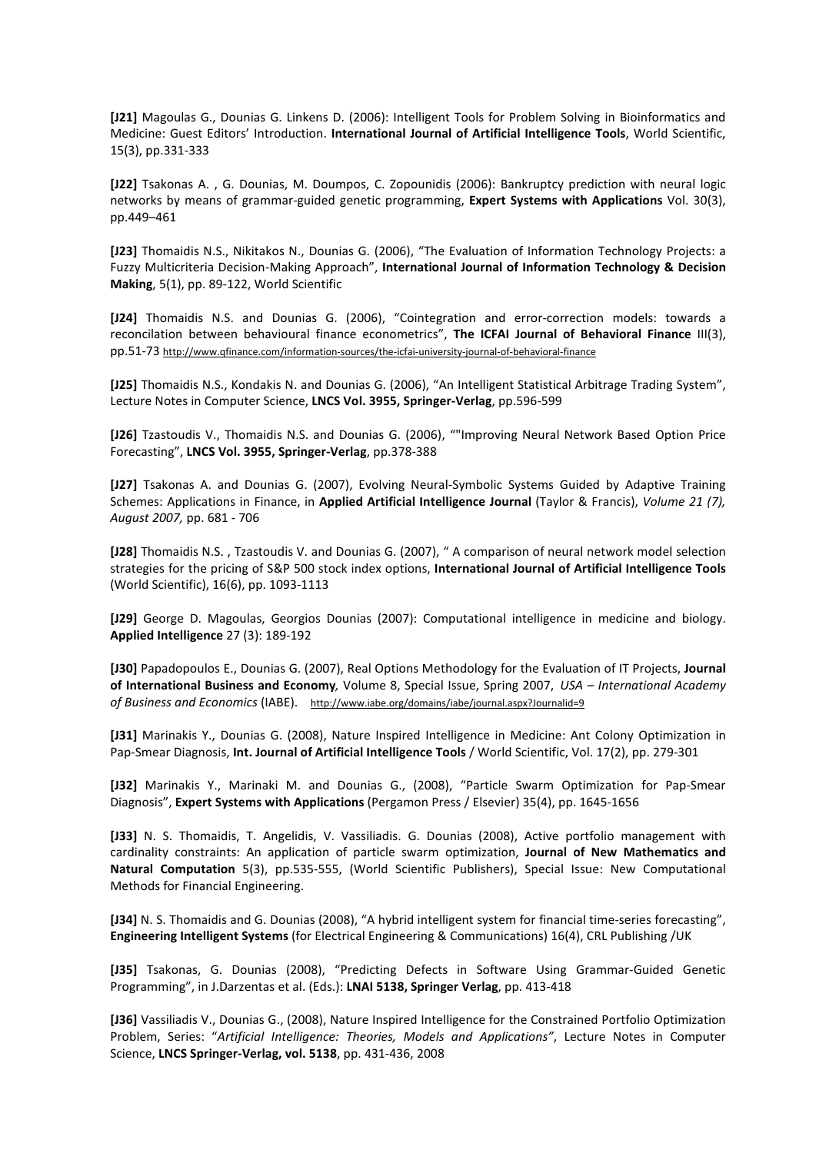**[J21]** Magoulas G., Dounias G. Linkens D. (2006): Intelligent Tools for Problem Solving in Bioinformatics and Medicine: Guest Editors' Introduction. **International Journal of Artificial Intelligence Tools**, World Scientific, 15(3), pp.331-333

**[J22]** Tsakonas A. , G. Dounias, M. Doumpos, C. Zopounidis (2006): Bankruptcy prediction with neural logic networks by means of grammar-guided genetic programming, **Expert Systems with Applications** Vol. 30(3), pp.449–461

**[J23]** Thomaidis N.S., Nikitakos N., Dounias G. (2006), "The Evaluation of Information Technology Projects: a Fuzzy Multicriteria Decision-Making Approach", **International Journal of Information Technology & Decision Making**, 5(1), pp. 89-122, World Scientific

**[J24]** Thomaidis N.S. and Dounias G. (2006), "Cointegration and error-correction models: towards a reconcilation between behavioural finance econometrics", **The ICFAI Journal of Behavioral Finance** III(3), pp.51-73 http://www.qfinance.com/information-sources/the-icfai-university-journal-of-behavioral-finance

**[J25]** Thomaidis N.S., Kondakis N. and Dounias G. (2006), "An Ιntelligent Statistical Arbitrage Trading System", Lecture Notes in Computer Science, **LNCS Vol. 3955, Springer-Verlag**, pp.596-599

**[J26]** Tzastoudis V., Thomaidis N.S. and Dounias G. (2006), ""Improving Neural Network Based Option Price Forecasting", **LNCS Vol. 3955, Springer-Verlag**, pp.378-388

**[J27]** Tsakonas A. and Dounias G. (2007), Evolving Neural-Symbolic Systems Guided by Adaptive Training Schemes: Applications in Finance, in **Applied Artificial Intelligence Journal** (Taylor & Francis), *Volume 21 (7), August 2007,* pp. 681 - 706

**[J28]** Thomaidis N.S. , Tzastoudis V. and Dounias G. (2007), " A comparison of neural network model selection strategies for the pricing of S&P 500 stock index options, **International Journal of Artificial Intelligence Tools** (World Scientific), 16(6), pp. 1093-1113

**[J29]** George D. Magoulas, Georgios Dounias (2007): Computational intelligence in medicine and biology. **Applied Intelligence** 27 (3): 189-192

**[J30]** Papadopoulos E., Dounias G. (2007), Real Options Methodology for the Evaluation of IT Projects, **Journal of International Business and Economy***,* Volume 8, Special Issue, Spring 2007, *USA – International Academy*  of Business and Economics (IABE). http://www.iabe.org/domains/iabe/journal.aspx?Journalid=9

**[J31]** Marinakis Y., Dounias G. (2008), Nature Inspired Intelligence in Medicine: Ant Colony Optimization in Pap-Smear Diagnosis, **Int. Journal of Artificial Intelligence Tools** / World Scientific, Vol. 17(2), pp. 279-301

**[J32]** Marinakis Y., Marinaki M. and Dounias G., (2008), "Particle Swarm Optimization for Pap-Smear Diagnosis", **Expert Systems with Applications** (Pergamon Press / Elsevier) 35(4), pp. 1645-1656

**[J33]** N. S. Thomaidis, T. Angelidis, V. Vassiliadis. G. Dounias (2008), Active portfolio management with cardinality constraints: An application of particle swarm optimization, **Journal of New Mathematics and Natural Computation** 5(3), pp.535-555, (World Scientific Publishers), Special Issue: New Computational Methods for Financial Engineering.

**[J34]** N. S. Thomaidis and G. Dounias (2008), "A hybrid intelligent system for financial time-series forecasting", **Engineering Intelligent Systems** (for Electrical Engineering & Communications) 16(4), CRL Publishing /UK

**[J35]** Tsakonas, G. Dounias (2008), "Predicting Defects in Software Using Grammar-Guided Genetic Programming", in J.Darzentas et al. (Eds.): **LNAI 5138, Springer Verlag**, pp. 413-418

**[J36]** Vassiliadis V., Dounias G., (2008), Nature Inspired Intelligence for the Constrained Portfolio Optimization Problem, Series: "*Artificial Intelligence: Theories, Models and Applications"*, Lecture Notes in Computer Science, **LNCS Springer-Verlag, vol. 5138**, pp. 431-436, 2008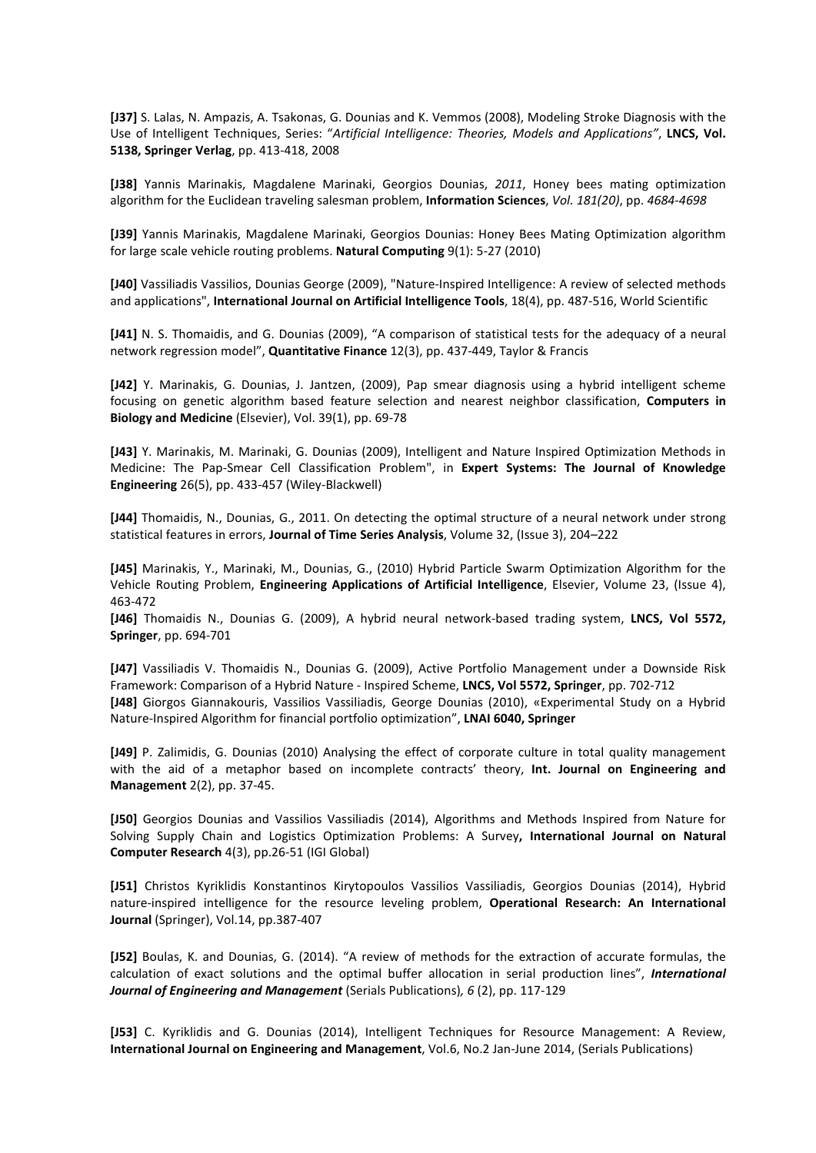**[J37]** S. Lalas, N. Ampazis, A. Tsakonas, G. Dounias and K. Vemmos (2008), Modeling Stroke Diagnosis with the Use of Intelligent Techniques, Series: "*Artificial Intelligence: Theories, Models and Applications"*, **LNCS, Vol. 5138, Springer Verlag**, pp. 413-418, 2008

**[J38]** Yannis Marinakis, Magdalene Marinaki, Georgios Dounias, *2011*, Honey bees mating optimization algorithm for the Euclidean traveling salesman problem, **Information Sciences**, *Vol. 181(20)*, pp. *4684-4698* 

**[J39]** Yannis Marinakis, Magdalene Marinaki, Georgios Dounias: Honey Bees Mating Optimization algorithm for large scale vehicle routing problems. **Natural Computing** 9(1): 5-27 (2010)

**[J40]** Vassiliadis Vassilios, Dounias George (2009), "Nature-Inspired Intelligence: A review of selected methods and applications", **International Journal on Artificial Intelligence Tools**, 18(4), pp. 487-516, World Scientific

**[J41]** N. S. Thomaidis, and G. Dounias (2009), "A comparison of statistical tests for the adequacy of a neural network regression model", **Quantitative Finance** 12(3), pp. 437-449, Taylor & Francis

**[J42]** Y. Marinakis, G. Dounias, J. Jantzen, (2009), Pap smear diagnosis using a hybrid intelligent scheme focusing on genetic algorithm based feature selection and nearest neighbor classification, **Computers in Biology and Medicine** (Elsevier), Vol. 39(1), pp. 69-78

**[J43]** Y. Marinakis, M. Marinaki, G. Dounias (2009), Intelligent and Nature Inspired Optimization Methods in Medicine: The Pap-Smear Cell Classification Problem", in **Expert Systems: The Journal of Knowledge Engineering** 26(5), pp. 433-457 (Wiley-Blackwell)

**[J44]** Thomaidis, N., Dounias, G., 2011. On detecting the optimal structure of a neural network under strong statistical features in errors, **Journal of Time Series Analysis**, Volume 32, (Issue 3), 204–222

**[J45]** Marinakis, Y., Marinaki, M., Dounias, G., (2010) Hybrid Particle Swarm Optimization Algorithm for the Vehicle Routing Problem, **Engineering Applications of Artificial Intelligence**, Elsevier, Volume 23, (Issue 4), 463-472

**[J46]** Thomaidis N., Dounias G. (2009), A hybrid neural network-based trading system, **LNCS, Vol 5572, Springer**, pp. 694-701

**[J47]** Vassiliadis V. Thomaidis N., Dounias G. (2009), Active Portfolio Management under a Downside Risk Framework: Comparison of a Hybrid Nature - Inspired Scheme, **LNCS, Vol 5572, Springer**, pp. 702-712 **[J48]** Giorgos Giannakouris, Vassilios Vassiliadis, George Dounias (2010), «Experimental Study on a Hybrid Nature-Inspired Algorithm for financial portfolio optimization", **LNAI 6040, Springer**

**[J49]** P. Zalimidis, G. Dounias (2010) Analysing the effect of corporate culture in total quality management with the aid of a metaphor based on incomplete contracts' theory, **Int. Journal on Engineering and Management** 2(2), pp. 37-45.

**[J50]** Georgios Dounias and Vassilios Vassiliadis (2014), Algorithms and Methods Inspired from Nature for Solving Supply Chain and Logistics Optimization Problems: A Survey**, International Journal on Natural Computer Research** 4(3), pp.26-51 (IGI Global)

**[J51]** Christos Kyriklidis Konstantinos Kirytopoulos Vassilios Vassiliadis, Georgios Dounias (2014), Hybrid nature-inspired intelligence for the resource leveling problem, **Operational Research: An International Journal** (Springer), Vol.14, pp.387-407

**[J52]** Boulas, K. and Dounias, G. (2014). "A review of methods for the extraction of accurate formulas, the calculation of exact solutions and the optimal buffer allocation in serial production lines", *International Journal of Engineering and Management* (Serials Publications)*, 6* (2), pp. 117-129

**[J53]** C. Kyriklidis and G. Dounias (2014), Intelligent Techniques for Resource Management: A Review, **International Journal on Engineering and Management**, Vol.6, No.2 Jan-June 2014, (Serials Publications)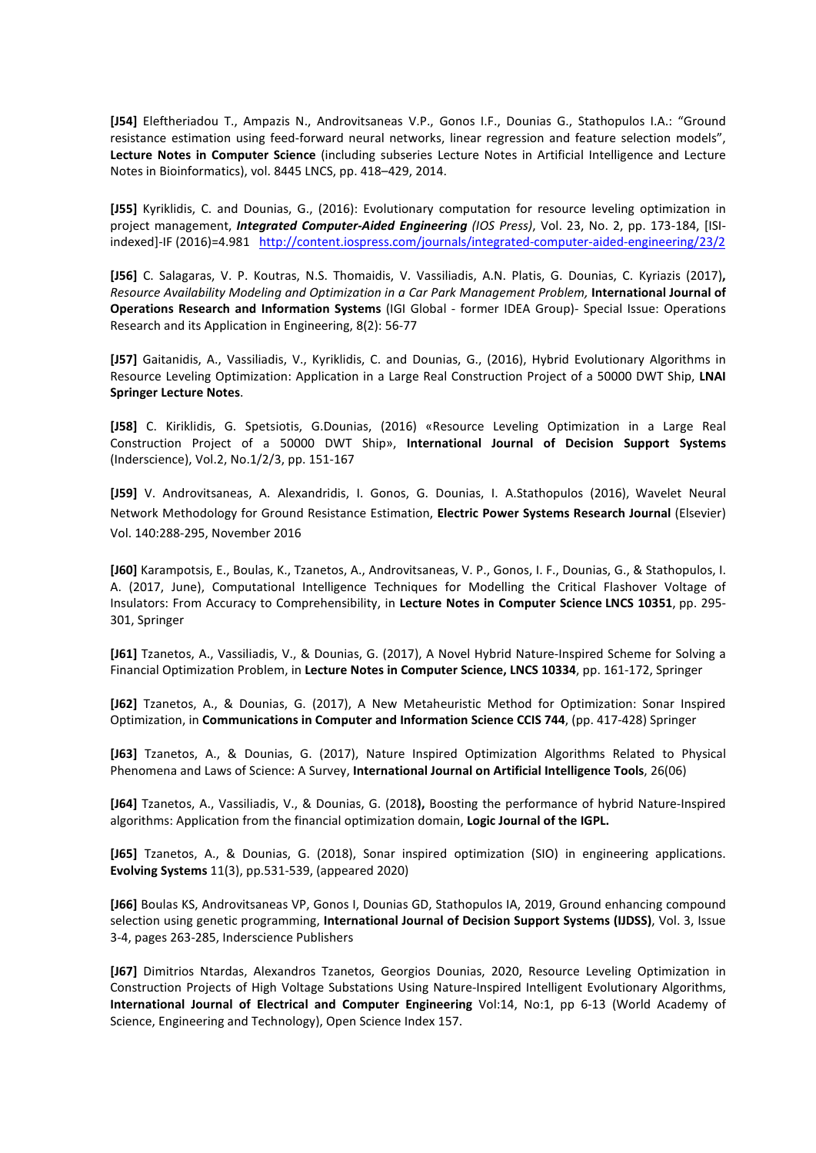**[J54]** Eleftheriadou T., Ampazis N., Androvitsaneas V.P., Gonos I.F., Dounias G., Stathopulos I.A.: "Ground resistance estimation using feed-forward neural networks, linear regression and feature selection models", **Lecture Notes in Computer Science** (including subseries Lecture Notes in Artificial Intelligence and Lecture Notes in Bioinformatics), vol. 8445 LNCS, pp. 418–429, 2014.

**[J55]** Kyriklidis, C. and Dounias, G., (2016): Evolutionary computation for resource leveling optimization in project management, *Integrated Computer-Aided Engineering (IOS Press)*, Vol. 23, No. 2, pp. 173-184, [ISIindexed]-IF (2016)=4.981 http://content.iospress.com/journals/integrated-computer-aided-engineering/23/2

**[J56]** C. Salagaras, V. P. Koutras, N.S. Thomaidis, V. Vassiliadis, A.N. Platis, G. Dounias, C. Kyriazis (2017)**,**  *Resource Availability Modeling and Optimization in a Car Park Management Problem,* **International Journal of Operations Research and Information Systems** (IGI Global - former IDEA Group)- Special Issue: Operations Research and its Application in Engineering, 8(2): 56-77

**[J57]** Gaitanidis, A., Vassiliadis, V., Kyriklidis, C. and Dounias, G., (2016), Hybrid Evolutionary Algorithms in Resource Leveling Optimization: Application in a Large Real Construction Project of a 50000 DWT Ship, **LNAI Springer Lecture Notes**.

**[J58]** C. Kiriklidis, G. Spetsiotis, G.Dounias, (2016) «Resource Leveling Optimization in a Large Real Construction Project of a 50000 DWT Ship», **International Journal of Decision Support Systems** (Inderscience), Vol.2, No.1/2/3, pp. 151-167

**[J59]** V. Androvitsaneas, A. Alexandridis, I. Gonos, G. Dounias, I. A.Stathopulos (2016), Wavelet Neural Network Methodology for Ground Resistance Estimation, **Electric Power Systems Research Journal** (Elsevier) Vol. 140:288-295, November 2016

**[J60]** Karampotsis, E., Boulas, K., Tzanetos, A., Androvitsaneas, V. P., Gonos, I. F., Dounias, G., & Stathopulos, I. A. (2017, June), Computational Intelligence Techniques for Modelling the Critical Flashover Voltage of Insulators: From Accuracy to Comprehensibility, in **Lecture Notes in Computer Science LNCS 10351**, pp. 295- 301, Springer

**[J61]** Tzanetos, A., Vassiliadis, V., & Dounias, G. (2017), A Novel Hybrid Nature-Inspired Scheme for Solving a Financial Optimization Problem, in **Lecture Notes in Computer Science, LNCS 10334**, pp. 161-172, Springer

**[J62]** Tzanetos, A., & Dounias, G. (2017), A New Metaheuristic Method for Optimization: Sonar Inspired Optimization, in **Communications in Computer and Information Science CCIS 744**, (pp. 417-428) Springer

**[J63]** Tzanetos, A., & Dounias, G. (2017), Nature Inspired Optimization Algorithms Related to Physical Phenomena and Laws of Science: A Survey, **International Journal on Artificial Intelligence Tools**, 26(06)

**[J64]** Tzanetos, A., Vassiliadis, V., & Dounias, G. (2018**),** Boosting the performance of hybrid Nature-Inspired algorithms: Application from the financial optimization domain, **Logic Journal of the IGPL.**

**[J65]** Tzanetos, A., & Dounias, G. (2018), Sonar inspired optimization (SIO) in engineering applications. **Evolving Systems** 11(3), pp.531-539, (appeared 2020)

**[J66]** Boulas KS, Androvitsaneas VP, Gonos I, Dounias GD, Stathopulos IA, 2019, Ground enhancing compound selection using genetic programming, **International Journal of Decision Support Systems (IJDSS)**, Vol. 3, Issue 3-4, pages 263-285, Inderscience Publishers

**[J67]** Dimitrios Ntardas, Alexandros Tzanetos, Georgios Dounias, 2020, Resource Leveling Optimization in Construction Projects of High Voltage Substations Using Nature-Inspired Intelligent Evolutionary Algorithms, **International Journal of Electrical and Computer Engineering** Vol:14, No:1, pp 6-13 (World Academy of Science, Engineering and Technology), Open Science Index 157.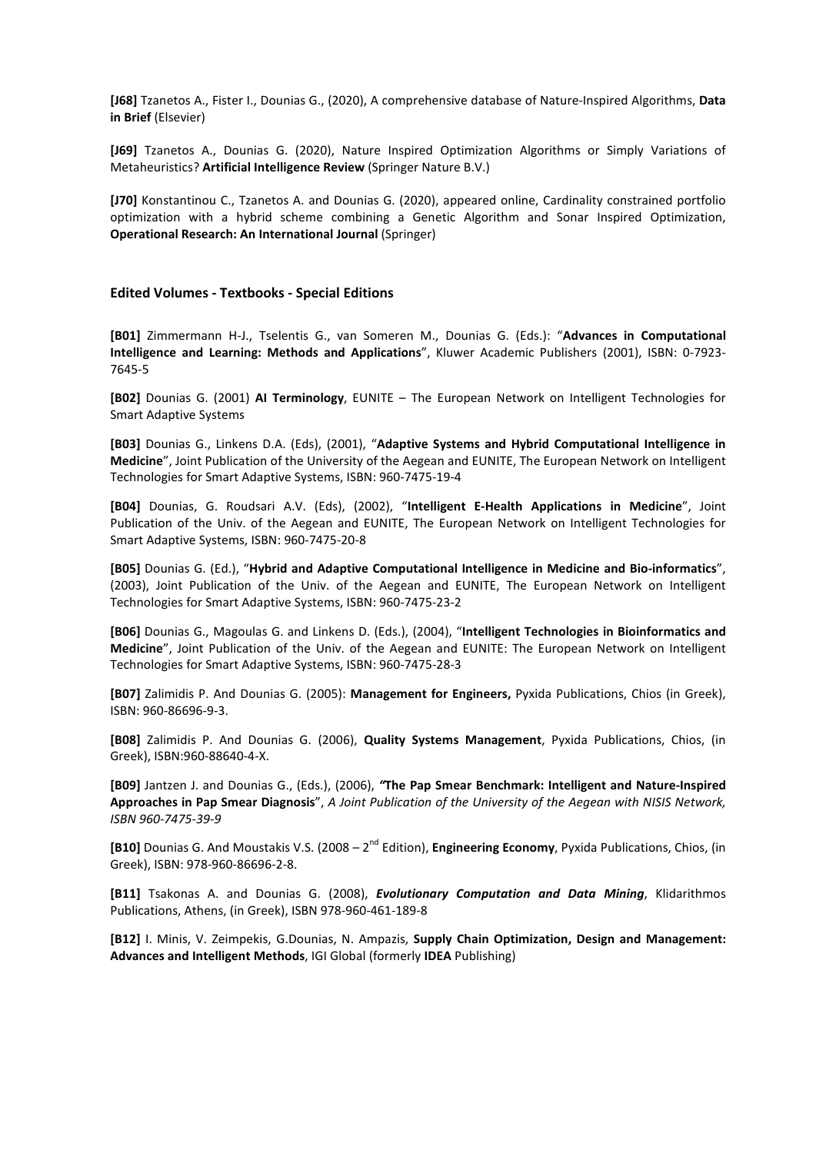**[J68]** Tzanetos A., Fister I., Dounias G., (2020), A comprehensive database of Nature-Inspired Algorithms, **Data in Brief** (Elsevier)

**[J69]** Tzanetos A., Dounias G. (2020), Nature Inspired Optimization Algorithms or Simply Variations of Metaheuristics? **Artificial Intelligence Review** (Springer Nature B.V.)

**[J70]** Konstantinou C., Tzanetos A. and Dounias G. (2020), appeared online, Cardinality constrained portfolio optimization with a hybrid scheme combining a Genetic Algorithm and Sonar Inspired Optimization, **Operational Research: An International Journal** (Springer)

#### **Edited Volumes - Textbooks - Special Editions**

**[B01]** Zimmermann H-J., Tselentis G., van Someren M., Dounias G. (Eds.): "**Advances in Computational Intelligence and Learning: Methods and Applications**", Kluwer Academic Publishers (2001), ISBN: 0-7923- 7645-5

**[B02]** Dounias G. (2001) **AI Terminology**, EUNITE – The European Network on Intelligent Technologies for Smart Adaptive Systems

**[B03]** Dounias G., Linkens D.A. (Eds), (2001), "**Adaptive Systems and Hybrid Computational Intelligence in Medicine**", Joint Publication of the University of the Aegean and EUNITE, The European Network on Intelligent Technologies for Smart Adaptive Systems, ISBN: 960-7475-19-4

**[B04]** Dounias, G. Roudsari A.V. (Eds), (2002), "**Intelligent E-Health Applications in Medicine**", Joint Publication of the Univ. of the Aegean and EUNITE, The European Network on Intelligent Technologies for Smart Adaptive Systems, ISBN: 960-7475-20-8

**[B05]** Dounias G. (Ed.), "**Hybrid and Adaptive Computational Intelligence in Medicine and Bio-informatics**", (2003), Joint Publication of the Univ. of the Aegean and EUNITE, The European Network on Intelligent Technologies for Smart Adaptive Systems, ISBN: 960-7475-23-2

**[B06]** Dounias G., Magoulas G. and Linkens D. (Eds.), (2004), "**Intelligent Technologies in Bioinformatics and Medicine**", Joint Publication of the Univ. of the Aegean and EUNITE: The European Network on Intelligent Technologies for Smart Adaptive Systems, ISBN: 960-7475-28-3

**[B07]** Zalimidis P. And Dounias G. (2005): **Management for Engineers,** Pyxida Publications, Chios (in Greek), ISBN: 960-86696-9-3.

**[B08]** Zalimidis P. And Dounias G. (2006), **Quality Systems Management**, Pyxida Publications, Chios, (in Greek), ISBN:960-88640-4-X.

**[B09]** Jantzen J. and Dounias G., (Eds.), (2006), *"***The Pap Smear Benchmark: Intelligent and Nature-Inspired Approaches in Pap Smear Diagnosis**", *A Joint Publication of the University of the Aegean with NISIS Network, ISBN 960-7475-39-9*

**[B10]** Dounias G. And Moustakis V.S. (2008 – 2<sup>nd</sup> Edition), **Engineering Economy**, Pyxida Publications, Chios, (in Greek), ISBN: 978-960-86696-2-8.

**[B11]** Tsakonas A. and Dounias G. (2008), *Evolutionary Computation and Data Mining*, Klidarithmos Publications, Athens, (in Greek), ΙSBN 978-960-461-189-8

**[B12]** I. Minis, V. Zeimpekis, G.Dounias, N. Ampazis, **Supply Chain Optimization, Design and Management: Advances and Intelligent Methods**, IGI Global (formerly **IDEA** Publishing)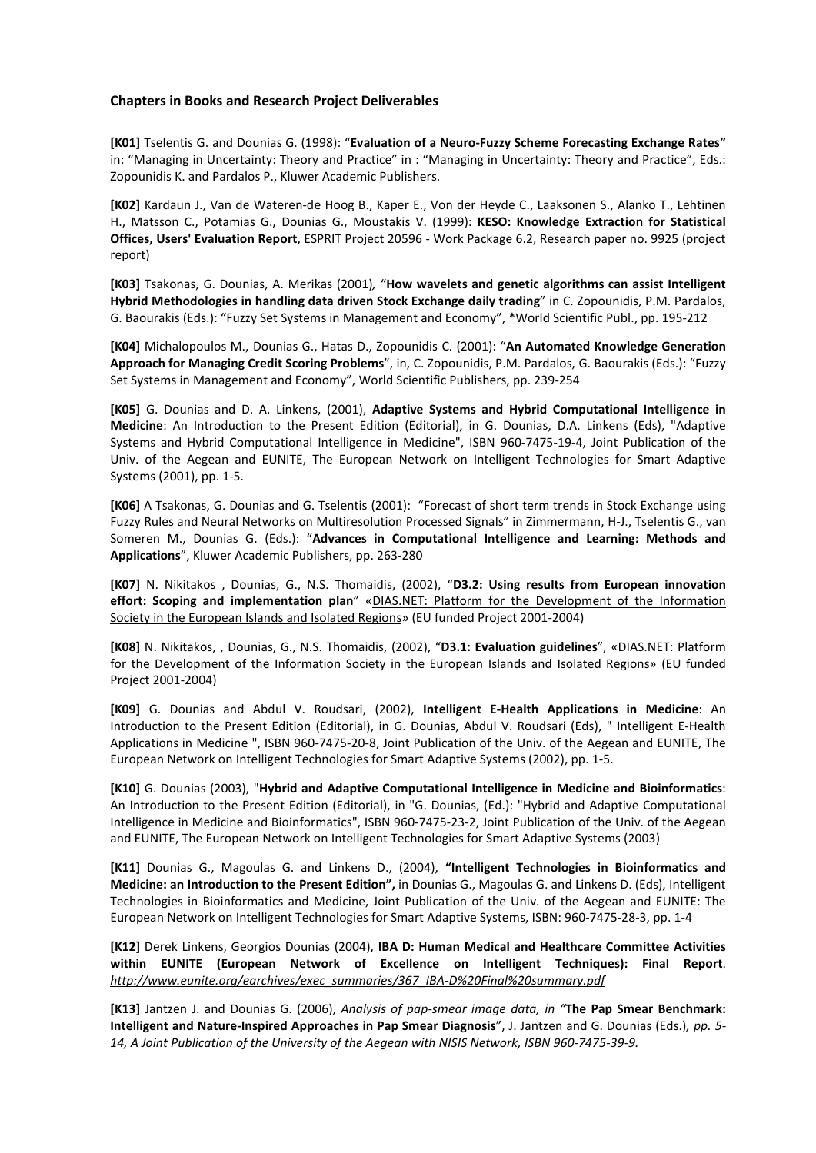## **Chapters in Books and Research Project Deliverables**

**[K01]** Tselentis G. and Dounias G. (1998): "**Evaluation of a Neuro-Fuzzy Scheme Forecasting Exchange Rates"**  in: "Managing in Uncertainty: Theory and Practice" in : "Managing in Uncertainty: Theory and Practice", Eds.: Zopounidis K. and Pardalos P., Kluwer Academic Publishers.

**[K02]** Kardaun J., Van de Wateren-de Hoog B., Kaper E., Von der Heyde C., Laaksonen S., Alanko T., Lehtinen H., Matsson C., Potamias G., Dounias G., Moustakis V. (1999): **KESO: Knowledge Extraction for Statistical Offices, Users' Evaluation Report**, ESPRIT Project 20596 - Work Package 6.2, Research paper no. 9925 (project report)

**[K03]** Tsakonas, G. Dounias, A. Merikas (2001)*,* "**How wavelets and genetic algorithms can assist Intelligent Hybrid Methodologies in handling data driven Stock Exchange daily trading**" in C. Zopounidis, P.M. Pardalos, G. Baourakis (Eds.): "Fuzzy Set Systems in Management and Economy", \*World Scientific Publ., pp. 195-212

**[K04]** Michalopoulos M., Dounias G., Hatas D., Zopounidis C. (2001): "**An Automated Knowledge Generation Approach for Managing Credit Scoring Problems**", in, C. Zopounidis, P.M. Pardalos, G. Baourakis (Eds.): "Fuzzy Set Systems in Management and Economy", World Scientific Publishers, pp. 239-254

**[K05]** G. Dounias and D. A. Linkens, (2001), **Adaptive Systems and Hybrid Computational Intelligence in Medicine**: An Introduction to the Present Edition (Editorial), in G. Dounias, D.A. Linkens (Eds), "Adaptive Systems and Hybrid Computational Intelligence in Medicine", ISBN 960-7475-19-4, Joint Publication of the Univ. of the Aegean and EUNITE, The European Network on Intelligent Technologies for Smart Adaptive Systems (2001), pp. 1-5.

**[K06]** A Tsakonas, G. Dounias and G. Tselentis (2001): "Forecast of short term trends in Stock Exchange using Fuzzy Rules and Neural Networks on Multiresolution Processed Signals" in Zimmermann, H-J., Tselentis G., van Someren M., Dounias G. (Eds.): "**Advances in Computational Intelligence and Learning: Methods and Applications**", Kluwer Academic Publishers, pp. 263-280

**[K07]** N. Nikitakos , Dounias, G., N.S. Thomaidis, (2002), "**D3.2: Using results from European innovation effort: Scoping and implementation plan**" «DIAS.ΝΕΤ: Platform for the Development of the Information Society in the European Islands and Isolated Regions» (EU funded Project 2001-2004)

**[K08]** N. Nikitakos, , Dounias, G., N.S. Thomaidis, (2002), "**D3.1: Evaluation guidelines**", «DIAS.ΝΕΤ: Platform for the Development of the Information Society in the European Islands and Isolated Regions» (EU funded Project 2001-2004)

**[K09]** G. Dounias and Abdul V. Roudsari, (2002), **Intelligent E-Health Applications in Medicine**: An Introduction to the Present Edition (Editorial), in G. Dounias, Abdul V. Roudsari (Eds), " Intelligent E-Health Applications in Medicine ", ISBN 960-7475-20-8, Joint Publication of the Univ. of the Aegean and EUNITE, The European Network on Intelligent Technologies for Smart Adaptive Systems (2002), pp. 1-5.

**[K10]** G. Dounias (2003), "**Hybrid and Adaptive Computational Intelligence in Medicine and Bioinformatics**: An Introduction to the Present Edition (Editorial), in "G. Dounias, (Ed.): "Hybrid and Adaptive Computational Intelligence in Medicine and Bioinformatics", ISBN 960-7475-23-2, Joint Publication of the Univ. of the Aegean and EUNITE, The European Network on Intelligent Technologies for Smart Adaptive Systems (2003)

**[K11]** Dounias G., Magoulas G. and Linkens D., (2004), **"Intelligent Technologies in Bioinformatics and Medicine: an Introduction to the Present Edition",** in Dounias G., Magoulas G. and Linkens D. (Eds), Intelligent Technologies in Bioinformatics and Medicine, Joint Publication of the Univ. of the Aegean and EUNITE: The European Network on Intelligent Technologies for Smart Adaptive Systems, ISBN: 960-7475-28-3, pp. 1-4

**[K12]** Derek Linkens, Georgios Dounias (2004), **IBA D: Human Medical and Healthcare Committee Activities within EUNITE (European Network of Excellence on Intelligent Techniques): Final Report**. *http://www.eunite.org/earchives/exec\_summaries/367\_IBA-D%20Final%20summary.pdf* 

**[K13]** Jantzen J. and Dounias G. (2006), *Analysis of pap-smear image data, in "***The Pap Smear Benchmark: Intelligent and Nature-Inspired Approaches in Pap Smear Diagnosis**", J. Jantzen and G. Dounias (Eds.)*, pp. 5- 14, A Joint Publication of the University of the Aegean with NISIS Network, ISBN 960-7475-39-9.*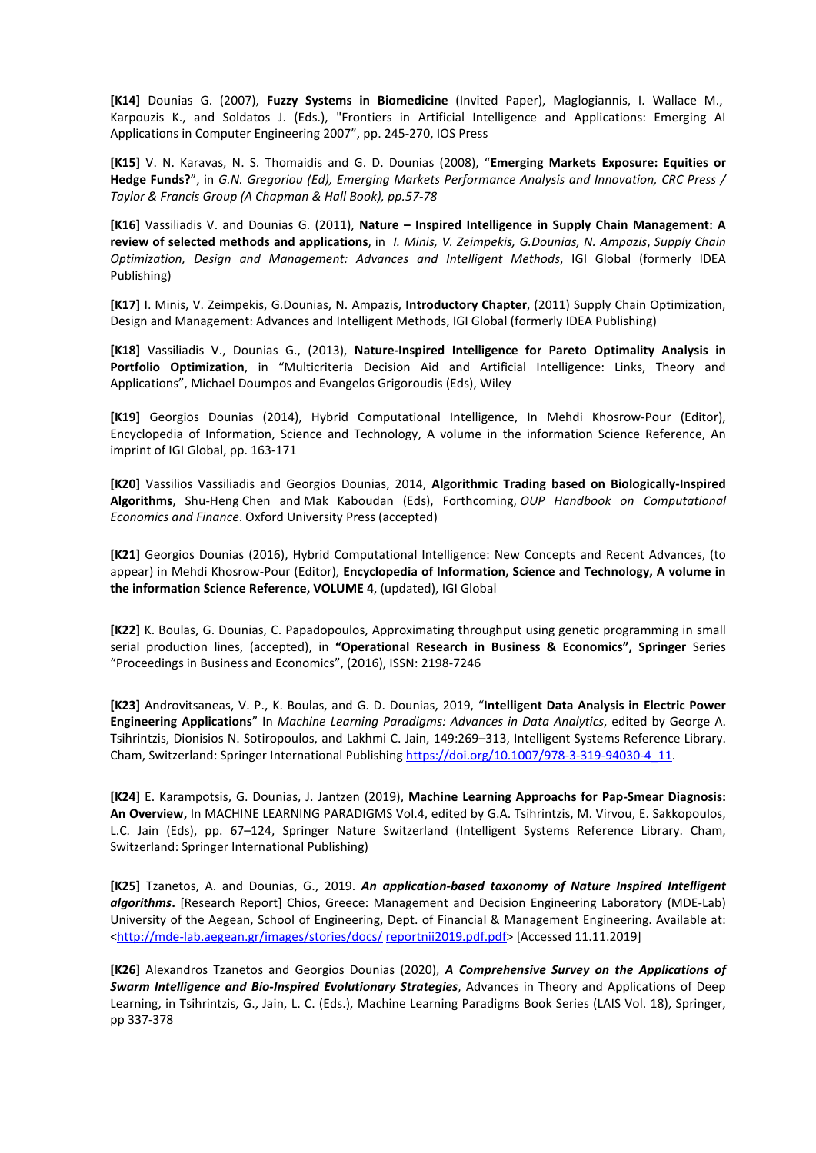**[K14]** Dounias G. (2007), **Fuzzy Systems in Biomedicine** (Invited Paper), Maglogiannis, I. Wallace M., Karpouzis K., and Soldatos J. (Eds.), "Frontiers in Artificial Intelligence and Applications: Emerging AI Applications in Computer Engineering 2007", pp. 245-270, IOS Press

**[K15]** V. N. Karavas, N. S. Thomaidis and G. D. Dounias (2008), "**Emerging Markets Exposure: Equities or Hedge Funds?**", in *G.N. Gregoriou (Ed), Emerging Markets Performance Analysis and Innovation, CRC Press / Taylor & Francis Group (A Chapman & Hall Book), pp.57-78*

**[K16]** Vassiliadis V. and Dounias G. (2011), **Nature – Inspired Intelligence in Supply Chain Management: A review of selected methods and applications**, in *I. Minis, V. Zeimpekis, G.Dounias, N. Ampazis*, *Supply Chain Optimization, Design and Management: Advances and Intelligent Methods*, IGI Global (formerly IDEA Publishing)

**[K17]** I. Minis, V. Zeimpekis, G.Dounias, N. Ampazis, **Introductory Chapter**, (2011) Supply Chain Optimization, Design and Management: Advances and Intelligent Methods, IGI Global (formerly IDEA Publishing)

**[K18]** Vassiliadis V., Dounias G., (2013), **Nature-Inspired Intelligence for Pareto Optimality Analysis in Portfolio Optimization**, in "Multicriteria Decision Aid and Artificial Intelligence: Links, Theory and Applications", Michael Doumpos and Evangelos Grigoroudis (Eds), Wiley

**[K19]** Georgios Dounias (2014), Hybrid Computational Intelligence, In Mehdi Khosrow-Pour (Editor), Encyclopedia of Information, Science and Technology, A volume in the information Science Reference, An imprint of IGI Global, pp. 163-171

**[K20]** Vassilios Vassiliadis and Georgios Dounias, 2014, **Algorithmic Trading based on Biologically-Inspired Algorithms**, Shu-Heng Chen and Mak Kaboudan (Eds), Forthcoming, *OUP Handbook on Computational Economics and Finance*. Oxford University Press (accepted)

**[K21]** Georgios Dounias (2016), Hybrid Computational Intelligence: New Concepts and Recent Advances, (to appear) in Mehdi Khosrow-Pour (Editor), **Encyclopedia of Information, Science and Technology, A volume in the information Science Reference, VOLUME 4**, (updated), IGI Global

**[K22]** K. Boulas, G. Dounias, C. Papadopoulos, Approximating throughput using genetic programming in small serial production lines, (accepted), in **"Operational Research in Business & Economics", Springer** Series "Proceedings in Business and Economics", (2016), ISSN: 2198-7246

**[K23]** Androvitsaneas, V. P., K. Boulas, and G. D. Dounias, 2019, "**Intelligent Data Analysis in Electric Power Engineering Applications**" In *Machine Learning Paradigms: Advances in Data Analytics*, edited by George A. Tsihrintzis, Dionisios N. Sotiropoulos, and Lakhmi C. Jain, 149:269–313, Intelligent Systems Reference Library. Cham, Switzerland: Springer International Publishing https://doi.org/10.1007/978-3-319-94030-4\_11.

**[K24]** E. Karampotsis, G. Dounias, J. Jantzen (2019), **Machine Learning Approachs for Pap-Smear Diagnosis: An Overview,** In MACHINE LEARNING PARADIGMS Vol.4, edited by G.A. Tsihrintzis, M. Virvou, E. Sakkopoulos, L.C. Jain (Eds), pp. 67–124, Springer Nature Switzerland (Intelligent Systems Reference Library. Cham, Switzerland: Springer International Publishing)

**[K25]** Tzanetos, A. and Dounias, G., 2019. *An application-based taxonomy of Nature Inspired Intelligent algorithms***.** [Research Report] Chios, Greece: Management and Decision Engineering Laboratory (MDE-Lab) University of the Aegean, School of Engineering, Dept. of Financial & Management Engineering. Available at: <http://mde-lab.aegean.gr/images/stories/docs/ reportnii2019.pdf.pdf> [Accessed 11.11.2019]

**[K26]** Alexandros Tzanetos and Georgios Dounias (2020), *A Comprehensive Survey on the Applications of Swarm Intelligence and Bio-Inspired Evolutionary Strategies*, Advances in Theory and Applications of Deep Learning, in Tsihrintzis, G., Jain, L. C. (Eds.), Machine Learning Paradigms Book Series (LAIS Vol. 18), Springer, pp 337-378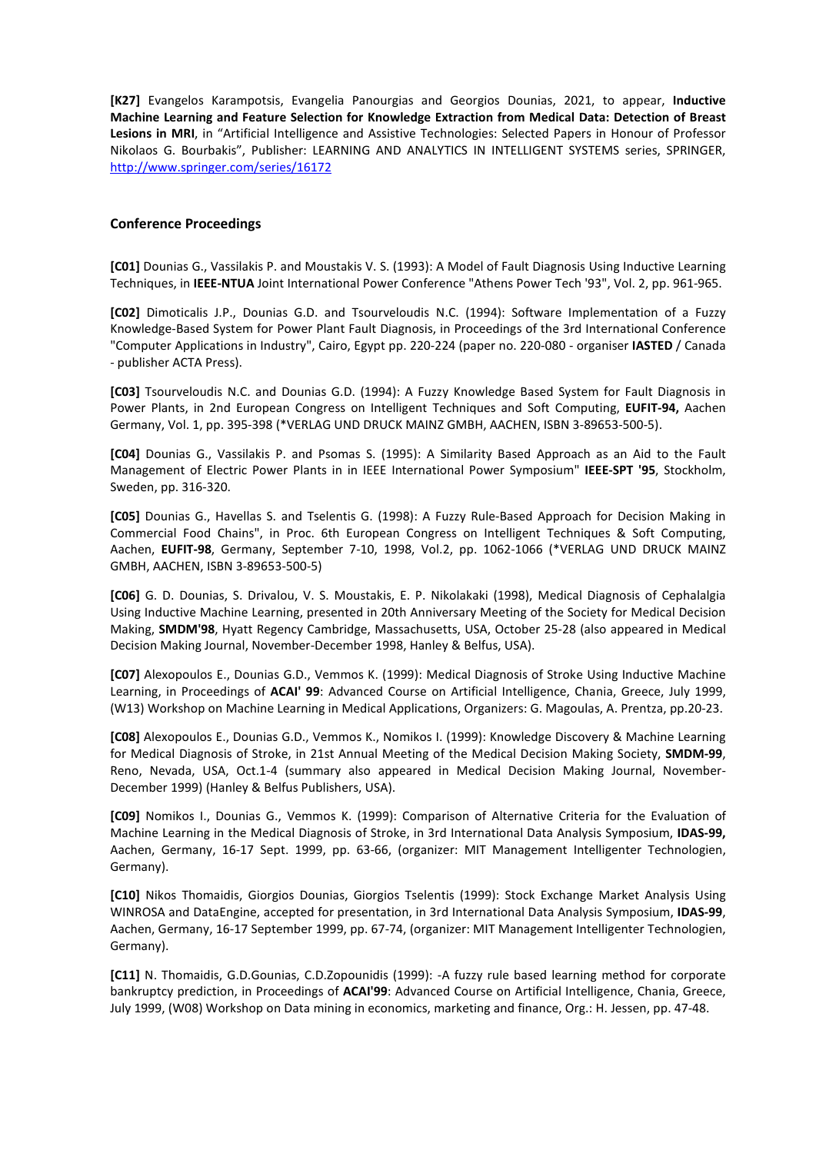**[K27]** Evangelos Karampotsis, Evangelia Panourgias and Georgios Dounias, 2021, to appear, **Inductive Machine Learning and Feature Selection for Knowledge Extraction from Medical Data: Detection of Breast Lesions in MRI**, in "Artificial Intelligence and Assistive Technologies: Selected Papers in Honour of Professor Nikolaos G. Bourbakis", Publisher: LEARNING AND ANALYTICS IN INTELLIGENT SYSTEMS series, SPRINGER, http://www.springer.com/series/16172

# **Conference Proceedings**

**[C01]** Dounias G., Vassilakis P. and Moustakis V. S. (1993): A Model of Fault Diagnosis Using Inductive Learning Techniques, in **IEEE-NTUA** Joint International Power Conference "Athens Power Tech '93", Vol. 2, pp. 961-965.

**[C02]** Dimoticalis J.P., Dounias G.D. and Tsourveloudis N.C. (1994): Software Implementation of a Fuzzy Knowledge-Based System for Power Plant Fault Diagnosis, in Proceedings of the 3rd International Conference "Computer Applications in Industry", Cairo, Egypt pp. 220-224 (paper no. 220-080 - organiser **IASTED** / Canada - publisher ACTA Press).

**[C03]** Tsourveloudis N.C. and Dounias G.D. (1994): A Fuzzy Knowledge Based System for Fault Diagnosis in Power Plants, in 2nd European Congress on Intelligent Techniques and Soft Computing, **EUFIT-94,** Aachen Germany, Vol. 1, pp. 395-398 (\*VERLAG UND DRUCK MAINZ GMBH, AACHEN, ISBN 3-89653-500-5).

**[C04]** Dounias G., Vassilakis P. and Psomas S. (1995): A Similarity Based Approach as an Aid to the Fault Management of Electric Power Plants in in IEEE International Power Symposium" **IEEE-SPT '95**, Stockholm, Sweden, pp. 316-320.

**[C05]** Dounias G., Havellas S. and Tselentis G. (1998): A Fuzzy Rule-Based Approach for Decision Making in Commercial Food Chains", in Proc. 6th European Congress on Intelligent Techniques & Soft Computing, Aachen, **EUFIT-98**, Germany, September 7-10, 1998, Vol.2, pp. 1062-1066 (\*VERLAG UND DRUCK MAINZ GMBH, AACHEN, ISBN 3-89653-500-5)

**[C06]** G. D. Dounias, S. Drivalou, V. S. Moustakis, E. P. Nikolakaki (1998), Medical Diagnosis of Cephalalgia Using Inductive Machine Learning, presented in 20th Anniversary Meeting of the Society for Medical Decision Making, **SMDM'98**, Hyatt Regency Cambridge, Massachusetts, USA, October 25-28 (also appeared in Medical Decision Making Journal, November-December 1998, Hanley & Belfus, USA).

**[C07]** Alexopoulos E., Dounias G.D., Vemmos K. (1999): Medical Diagnosis of Stroke Using Inductive Machine Learning, in Proceedings of **ACAI' 99**: Advanced Course on Artificial Intelligence, Chania, Greece, July 1999, (W13) Workshop on Machine Learning in Medical Applications, Organizers: G. Magoulas, A. Prentza, pp.20-23.

**[C08]** Alexopoulos E., Dounias G.D., Vemmos K., Nomikos I. (1999): Knowledge Discovery & Machine Learning for Medical Diagnosis of Stroke, in 21st Annual Meeting of the Medical Decision Making Society, **SMDM-99**, Reno, Nevada, USA, Oct.1-4 (summary also appeared in Medical Decision Making Journal, November-December 1999) (Hanley & Belfus Publishers, USA).

**[C09]** Nomikos I., Dounias G., Vemmos K. (1999): Comparison of Alternative Criteria for the Evaluation of Machine Learning in the Medical Diagnosis of Stroke, in 3rd International Data Analysis Symposium, **IDAS-99,**  Aachen, Germany, 16-17 Sept. 1999, pp. 63-66, (organizer: MIT Management Intelligenter Technologien, Germany).

**[C10]** Nikos Thomaidis, Giorgios Dounias, Giorgios Tselentis (1999): Stock Exchange Market Analysis Using WINROSA and DataEngine, accepted for presentation, in 3rd International Data Analysis Symposium, **IDAS-99**, Aachen, Germany, 16-17 September 1999, pp. 67-74, (organizer: MIT Management Intelligenter Technologien, Germany).

**[C11]** N. Thomaidis, G.D.Gounias, C.D.Zopounidis (1999): -A fuzzy rule based learning method for corporate bankruptcy prediction, in Proceedings of **ACAI'99**: Advanced Course on Artificial Intelligence, Chania, Greece, July 1999, (W08) Workshop on Data mining in economics, marketing and finance, Org.: H. Jessen, pp. 47-48.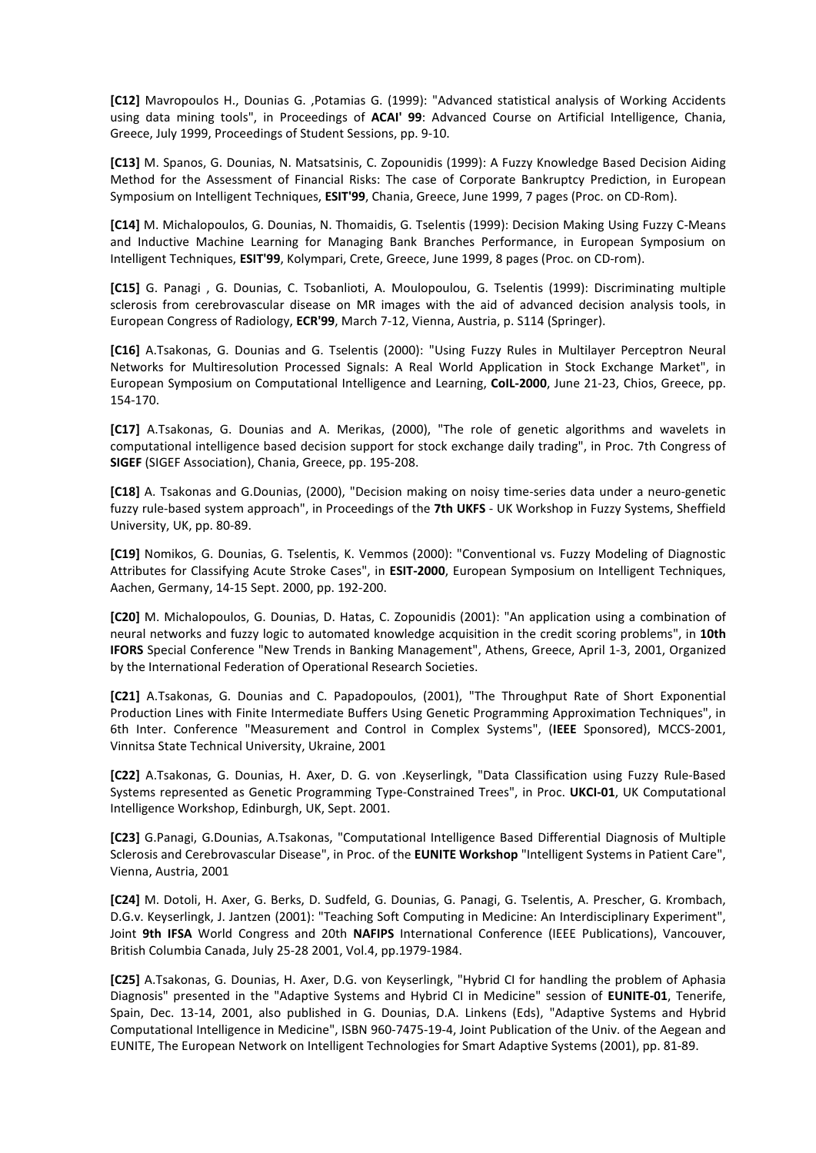**[C12]** Mavropoulos H., Dounias G. ,Potamias G. (1999): "Advanced statistical analysis of Working Accidents using data mining tools", in Proceedings of **ACAI' 99**: Advanced Course on Artificial Intelligence, Chania, Greece, July 1999, Proceedings of Student Sessions, pp. 9-10.

**[C13]** M. Spanos, G. Dounias, N. Matsatsinis, C. Zopounidis (1999): A Fuzzy Knowledge Based Decision Aiding Method for the Assessment of Financial Risks: The case of Corporate Bankruptcy Prediction, in European Symposium on Intelligent Techniques, **ESIT'99**, Chania, Greece, June 1999, 7 pages (Proc. on CD-Rom).

**[C14]** M. Michalopoulos, G. Dounias, N. Thomaidis, G. Tselentis (1999): Decision Making Using Fuzzy C-Means and Inductive Machine Learning for Managing Bank Branches Performance, in European Symposium on Intelligent Techniques, **ESIT'99**, Kolympari, Crete, Greece, June 1999, 8 pages (Proc. on CD-rom).

**[C15]** G. Panagi , G. Dounias, C. Tsobanlioti, A. Moulopoulou, G. Tselentis (1999): Discriminating multiple sclerosis from cerebrovascular disease on MR images with the aid of advanced decision analysis tools, in European Congress of Radiology, **ECR'99**, March 7-12, Vienna, Austria, p. S114 (Springer).

**[C16]** A.Tsakonas, G. Dounias and G. Tselentis (2000): "Using Fuzzy Rules in Multilayer Perceptron Neural Networks for Multiresolution Processed Signals: A Real World Application in Stock Exchange Market", in European Symposium on Computational Intelligence and Learning, **CoIL-2000**, June 21-23, Chios, Greece, pp. 154-170.

**[C17]** A.Tsakonas, G. Dounias and A. Merikas, (2000), "The role of genetic algorithms and wavelets in computational intelligence based decision support for stock exchange daily trading", in Proc. 7th Congress of **SIGEF** (SIGEF Association), Chania, Greece, pp. 195-208.

**[C18]** Α. Tsakonas and G.Dounias, (2000), "Decision making on noisy time-series data under a neuro-genetic fuzzy rule-based system approach", in Proceedings of the **7th UKFS** - UK Workshop in Fuzzy Systems, Sheffield University, UK, pp. 80-89.

**[C19]** Nomikos, G. Dounias, G. Tselentis, K. Vemmos (2000): "Conventional vs. Fuzzy Modeling of Diagnostic Attributes for Classifying Acute Stroke Cases", in **ESIT-2000**, European Symposium on Intelligent Techniques, Aachen, Germany, 14-15 Sept. 2000, pp. 192-200.

**[C20]** M. Michalopoulos, G. Dounias, D. Hatas, C. Zopounidis (2001): "An application using a combination of neural networks and fuzzy logic to automated knowledge acquisition in the credit scoring problems", in **10th IFORS** Special Conference "New Trends in Banking Management", Athens, Greece, April 1-3, 2001, Organized by the International Federation of Operational Research Societies.

**[C21]** A.Tsakonas, G. Dounias and C. Papadopoulos, (2001), "The Throughput Rate of Short Exponential Production Lines with Finite Intermediate Buffers Using Genetic Programming Approximation Techniques", in 6th Inter. Conference "Measurement and Control in Complex Systems", (**IEEE** Sponsored), MCCS-2001, Vinnitsa State Technical University, Ukraine, 2001

**[C22]** A.Tsakonas, G. Dounias, H. Axer, D. G. von .Keyserlingk, "Data Classification using Fuzzy Rule-Based Systems represented as Genetic Programming Type-Constrained Trees", in Proc. **UKCI-01**, UK Computational Intelligence Workshop, Edinburgh, UK, Sept. 2001.

**[C23]** G.Panagi, G.Dounias, A.Tsakonas, "Computational Intelligence Based Differential Diagnosis of Multiple Sclerosis and Cerebrovascular Disease", in Proc. of the **EUNITE Workshop** "Intelligent Systems in Patient Care", Vienna, Austria, 2001

**[C24]** M. Dotoli, H. Axer, G. Berks, D. Sudfeld, G. Dounias, G. Panagi, G. Tselentis, A. Prescher, G. Krombach, D.G.v. Keyserlingk, J. Jantzen (2001): "Teaching Soft Computing in Medicine: An Interdisciplinary Experiment", Joint **9th IFSA** World Congress and 20th **NAFIPS** International Conference (IEEE Publications), Vancouver, British Columbia Canada, July 25-28 2001, Vol.4, pp.1979-1984.

**[C25]** A.Tsakonas, G. Dounias, H. Axer, D.G. von Keyserlingk, "Hybrid CI for handling the problem of Aphasia Diagnosis" presented in the "Adaptive Systems and Hybrid CI in Medicine" session of **EUNITE-01**, Tenerife, Spain, Dec. 13-14, 2001, also published in G. Dounias, D.A. Linkens (Eds), "Adaptive Systems and Hybrid Computational Intelligence in Medicine", ISBN 960-7475-19-4, Joint Publication of the Univ. of the Aegean and EUNITE, The European Network on Intelligent Technologies for Smart Adaptive Systems (2001), pp. 81-89.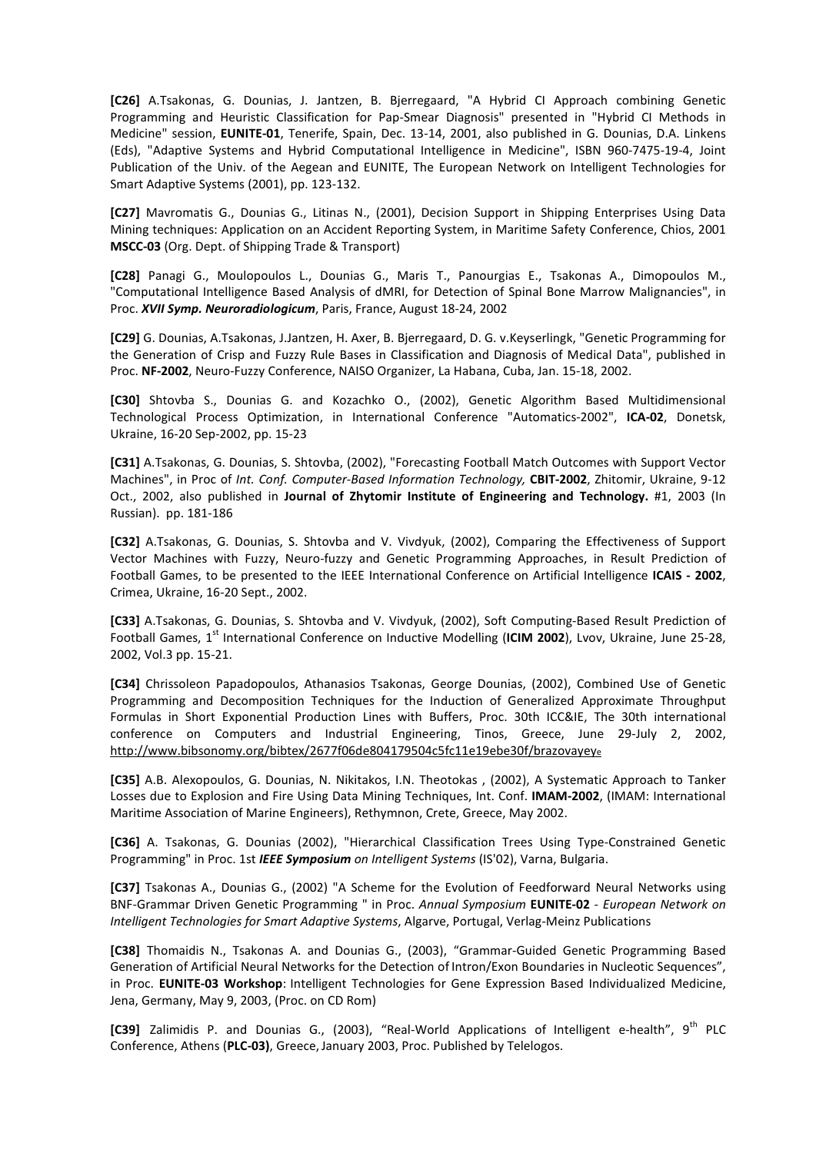**[C26]** A.Tsakonas, G. Dounias, J. Jantzen, B. Bjerregaard, "A Hybrid CI Approach combining Genetic Programming and Heuristic Classification for Pap-Smear Diagnosis" presented in "Hybrid CI Methods in Medicine" session, **EUNITE-01**, Tenerife, Spain, Dec. 13-14, 2001, also published in G. Dounias, D.A. Linkens (Eds), "Adaptive Systems and Hybrid Computational Intelligence in Medicine", ISBN 960-7475-19-4, Joint Publication of the Univ. of the Aegean and EUNITE, The European Network on Intelligent Technologies for Smart Adaptive Systems (2001), pp. 123-132.

**[C27]** Mavromatis G., Dounias G., Litinas N., (2001), Decision Support in Shipping Enterprises Using Data Mining techniques: Application on an Accident Reporting System, in Maritime Safety Conference, Chios, 2001 **MSCC-03** (Org. Dept. of Shipping Trade & Transport)

**[C28]** Panagi G., Moulopoulos L., Dounias G., Maris T., Panourgias E., Tsakonas A., Dimopoulos M., "Computational Intelligence Based Analysis of dMRI, for Detection of Spinal Bone Marrow Malignancies", in Proc. *XVII Symp. Neuroradiologicum*, Paris, France, August 18-24, 2002

**[C29]** G. Dounias, A.Tsakonas, J.Jantzen, H. Axer, B. Bjerregaard, D. G. v.Keyserlingk, "Genetic Programming for the Generation of Crisp and Fuzzy Rule Bases in Classification and Diagnosis of Medical Data", published in Proc. **NF-2002**, Neuro-Fuzzy Conference, NAISO Organizer, La Habana, Cuba, Jan. 15-18, 2002.

**[C30]** Shtovba S., Dounias G. and Kozachko O., (2002), Genetic Algorithm Based Multidimensional Technological Process Optimization, in International Conference "Automatics-2002", **ICA-02**, Donetsk, Ukraine, 16-20 Sep-2002, pp. 15-23

**[C31]** A.Tsakonas, G. Dounias, S. Shtovba, (2002), "Forecasting Football Match Outcomes with Support Vector Machines", in Proc of *Int. Conf. Computer-Based Information Technology,* **CBIT-2002**, Zhitomir, Ukraine, 9-12 Oct., 2002, also published in **Journal of Zhytomir Institute of Engineering and Technology.** #1, 2003 (In Russian). pp. 181-186

**[C32]** A.Tsakonas, G. Dounias, S. Shtovba and V. Vivdyuk, (2002), Comparing the Effectiveness of Support Vector Machines with Fuzzy, Neuro-fuzzy and Genetic Programming Approaches, in Result Prediction of Football Games, to be presented to the IEEE International Conference on Artificial Intelligence **ICAIS - 2002**, Crimea, Ukraine, 16-20 Sept., 2002.

**[C33]** A.Tsakonas, G. Dounias, S. Shtovba and V. Vivdyuk, (2002), Soft Computing-Based Result Prediction of Football Games, 1<sup>st</sup> International Conference on Inductive Modelling (ICIM 2002), Lvov, Ukraine, June 25-28, 2002, Vol.3 pp. 15-21.

**[C34]** Chrissoleon Papadopoulos, Athanasios Tsakonas, George Dounias, (2002), Combined Use of Genetic Programming and Decomposition Techniques for the Induction of Generalized Approximate Throughput Formulas in Short Exponential Production Lines with Buffers, Proc. 30th ICC&IE, The 30th international conference on Computers and Industrial Engineering, Tinos, Greece, June 29-July 2, 2002, http://www.bibsonomy.org/bibtex/2677f06de804179504c5fc11e19ebe30f/brazovayey<sup>e</sup>

**[C35]** A.B. Alexopoulos, G. Dounias, N. Nikitakos, I.N. Theotokas , (2002), A Systematic Approach to Tanker Losses due to Explosion and Fire Using Data Mining Techniques, Int. Conf. **IMAM-2002**, (IMAM: International Maritime Association of Marine Engineers), Rethymnon, Crete, Greece, May 2002.

**[C36]** A. Tsakonas, G. Dounias (2002), "Hierarchical Classification Trees Using Type-Constrained Genetic Programming" in Proc. 1st *IEEE Symposium on Intelligent Systems* (IS'02), Varna, Bulgaria.

**[C37]** Tsakonas A., Dounias G., (2002) "A Scheme for the Evolution of Feedforward Neural Networks using BNF-Grammar Driven Genetic Programming " in Proc. *Annual Symposium* **EUNITE-02** *- European Network on Intelligent Technologies for Smart Adaptive Systems*, Algarve, Portugal, Verlag-Meinz Publications

**[C38]** Thomaidis N., Tsakonas A. and Dounias G., (2003), "Grammar-Guided Genetic Programming Based Generation of Artificial Neural Networks for the Detection of Intron/Exon Boundaries in Nucleotic Sequences", in Proc. **EUNITE-03 Workshop**: Intelligent Technologies for Gene Expression Based Individualized Medicine, Jena, Germany, May 9, 2003, (Proc. on CD Rom)

[C39] Zalimidis P. and Dounias G., (2003), "Real-World Applications of Intelligent e-health", 9<sup>th</sup> PLC Conference, Athens (**PLC-03)**, Greece,January 2003, Proc. Published by Telelogos.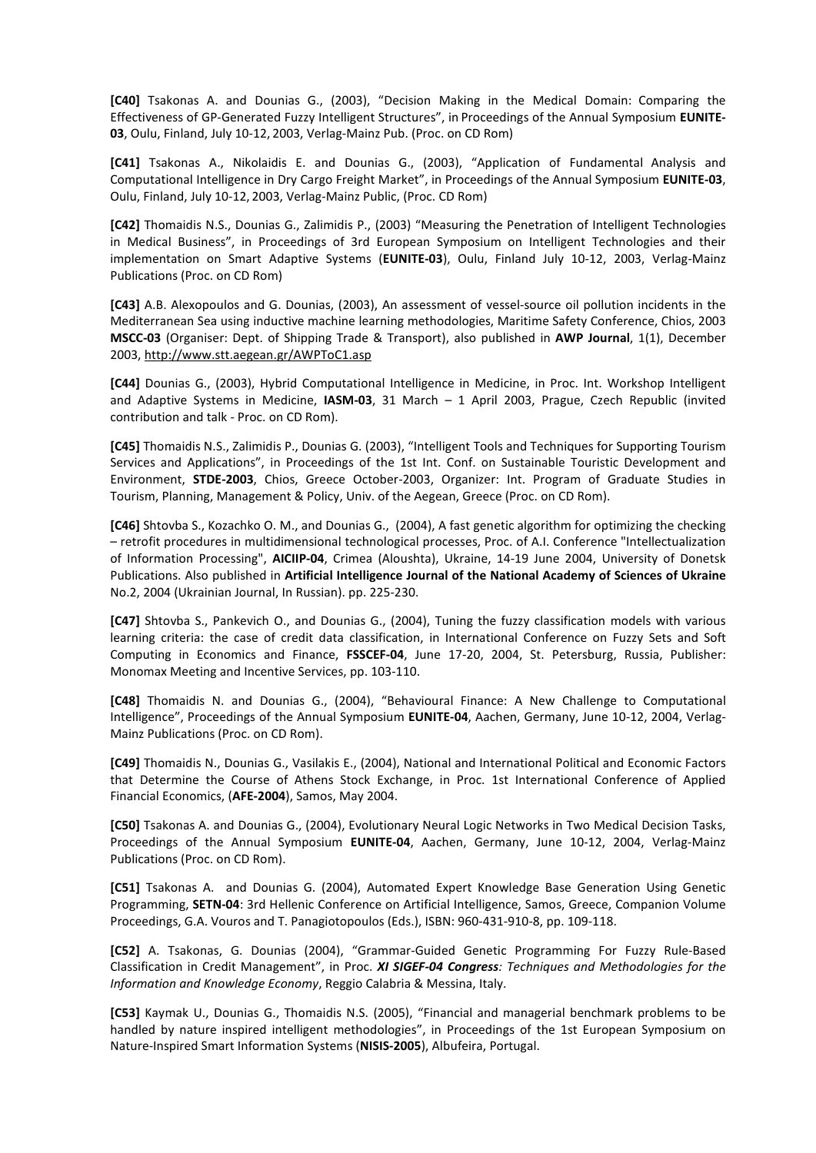**[C40]** Tsakonas A. and Dounias G., (2003), "Decision Making in the Medical Domain: Comparing the Effectiveness of GP-Generated Fuzzy Intelligent Structures", in Proceedings of the Annual Symposium **EUNITE-03**, Oulu, Finland, July 10-12, 2003, Verlag-Mainz Pub. (Proc. on CD Rom)

**[C41]** Tsakonas A., Nikolaidis E. and Dounias G., (2003), "Application of Fundamental Analysis and Computational Intelligence in Dry Cargo Freight Market", in Proceedings of the Annual Symposium **EUNITE-03**, Oulu, Finland, July 10-12, 2003, Verlag-Mainz Public, (Proc. CD Rom)

**[C42]** Thomaidis N.S., Dounias G., Zalimidis P., (2003) "Measuring the Penetration of Intelligent Technologies in Medical Business", in Proceedings of 3rd European Symposium on Intelligent Technologies and their implementation on Smart Adaptive Systems (**EUNITE-03**), Oulu, Finland July 10-12, 2003, Verlag-Mainz Publications (Proc. on CD Rom)

**[C43]** A.B. Alexopoulos and G. Dounias, (2003), An assessment of vessel-source oil pollution incidents in the Mediterranean Sea using inductive machine learning methodologies, Maritime Safety Conference, Chios, 2003 **MSCC-03** (Organiser: Dept. of Shipping Trade & Transport), also published in **AWP Journal**, 1(1), December 2003, http://www.stt.aegean.gr/AWPToC1.asp

**[C44]** Dounias G., (2003), Hybrid Computational Intelligence in Medicine, in Proc. Int. Workshop Intelligent and Adaptive Systems in Medicine, **IASM-03**, 31 March – 1 April 2003, Prague, Czech Republic (invited contribution and talk - Proc. on CD Rom).

**[C45]** Thomaidis N.S., Zalimidis P., Dounias G. (2003), "Intelligent Tools and Techniques for Supporting Tourism Services and Applications", in Proceedings of the 1st Int. Conf. on Sustainable Touristic Development and Environment, **STDE-2003**, Chios, Greece October-2003, Organizer: Int. Program of Graduate Studies in Tourism, Planning, Management & Policy, Univ. of the Aegean, Greece (Proc. on CD Rom).

**[C46]** Shtovba S., Kozachko O. M., and Dounias G., (2004), A fast genetic algorithm for optimizing the checking – retrofit procedures in multidimensional technological processes, Proc. of A.I. Conference "Intellectualization of Information Processing", **AICIIP-04**, Crimea (Aloushta), Ukraine, 14-19 June 2004, University of Donetsk Publications. Also published in **Artificial Intelligence Journal of the National Academy of Sciences of Ukraine**  Νο.2, 2004 (Ukrainian Journal, In Russian). pp. 225-230.

**[C47]** Shtovba S., Pankevich O., and Dounias G., (2004), Tuning the fuzzy classification models with various learning criteria: the case of credit data classification, in International Conference on Fuzzy Sets and Soft Computing in Economics and Finance, **FSSCEF-04**, June 17-20, 2004, St. Petersburg, Russia, Publisher: Monomax Meeting and Incentive Services, pp. 103-110.

**[C48]** Thomaidis N. and Dounias G., (2004), "Behavioural Finance: A New Challenge to Computational Intelligence", Proceedings of the Annual Symposium **EUNITE-04**, Aachen, Germany, June 10-12, 2004, Verlag-Mainz Publications (Proc. on CD Rom).

**[C49]** Thomaidis N., Dounias G., Vasilakis E., (2004), National and International Political and Economic Factors that Determine the Course of Athens Stock Exchange, in Proc. 1st International Conference of Applied Financial Economics, (**AFE-2004**), Samos, May 2004.

**[C50]** Tsakonas A. and Dounias G., (2004), Evolutionary Neural Logic Networks in Two Medical Decision Tasks, Proceedings of the Annual Symposium **EUNITE-04**, Aachen, Germany, June 10-12, 2004, Verlag-Mainz Publications (Proc. on CD Rom).

**[C51]** Tsakonas A. and Dounias G. (2004), Automated Expert Knowledge Base Generation Using Genetic Programming, **SETN-04**: 3rd Hellenic Conference on Artificial Intelligence, Samos, Greece, Companion Volume Proceedings, G.A. Vouros and T. Panagiotopoulos (Eds.), ISBN: 960-431-910-8, pp. 109-118.

**[C52]** A. Tsakonas, G. Dounias (2004), "Grammar-Guided Genetic Programming For Fuzzy Rule-Based Classification in Credit Management", in Proc. *XI SIGEF-04 Congress: Techniques and Methodologies for the Information and Knowledge Economy*, Reggio Calabria & Messina, Italy.

**[C53]** Kaymak U., Dounias G., Thomaidis N.S. (2005), "Financial and managerial benchmark problems to be handled by nature inspired intelligent methodologies", in Proceedings of the 1st European Symposium on Nature-Inspired Smart Information Systems (**NISIS-2005**), Albufeira, Portugal.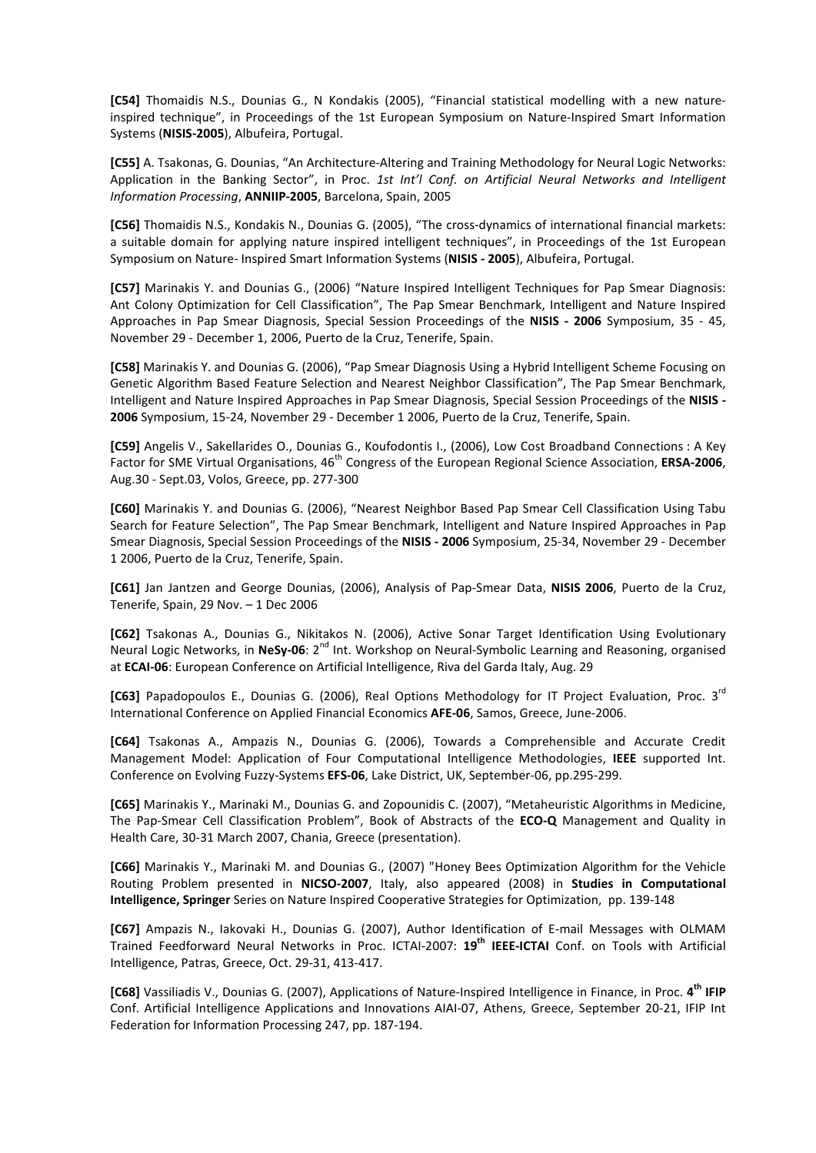**[C54]** Thomaidis N.S., Dounias G., N Kondakis (2005), "Financial statistical modelling with a new natureinspired technique", in Proceedings of the 1st European Symposium on Nature-Inspired Smart Information Systems (**NISIS-2005**), Albufeira, Portugal.

**[C55]** A. Tsakonas, G. Dounias, "An Architecture-Altering and Training Methodology for Neural Logic Networks: Application in the Banking Sector", in Proc. *1st Int'l Conf. on Artificial Neural Networks and Intelligent Information Processing*, **ANNIIP-2005**, Barcelona, Spain, 2005

**[C56]** Thomaidis N.S., Kondakis N., Dounias G. (2005), "The cross-dynamics of international financial markets: a suitable domain for applying nature inspired intelligent techniques", in Proceedings of the 1st European Symposium on Nature- Inspired Smart Information Systems (**NISIS - 2005**), Albufeira, Portugal.

**[C57]** Marinakis Y. and Dounias G., (2006) "Nature Inspired Intelligent Techniques for Pap Smear Diagnosis: Ant Colony Optimization for Cell Classification", The Pap Smear Benchmark, Intelligent and Nature Inspired Approaches in Pap Smear Diagnosis, Special Session Proceedings of the **NISIS - 2006** Symposium, 35 - 45, November 29 - December 1, 2006, Puerto de la Cruz, Tenerife, Spain.

**[C58]** Marinakis Y. and Dounias G. (2006), "Pap Smear Diagnosis Using a Hybrid Intelligent Scheme Focusing on Genetic Algorithm Based Feature Selection and Nearest Neighbor Classification", The Pap Smear Benchmark, Intelligent and Nature Inspired Approaches in Pap Smear Diagnosis, Special Session Proceedings of the **NISIS - 2006** Symposium, 15-24, November 29 - December 1 2006, Puerto de la Cruz, Tenerife, Spain.

**[C59]** Angelis V., Sakellarides O., Dounias G., Koufodontis I., (2006), Low Cost Broadband Connections : A Key Factor for SME Virtual Organisations, 46<sup>th</sup> Congress of the European Regional Science Association, **ERSA-2006**, Aug.30 - Sept.03, Volos, Greece, pp. 277-300

**[C60]** Marinakis Y. and Dounias G. (2006), "Nearest Neighbor Based Pap Smear Cell Classification Using Tabu Search for Feature Selection", The Pap Smear Benchmark, Intelligent and Nature Inspired Approaches in Pap Smear Diagnosis, Special Session Proceedings of the **NISIS - 2006** Symposium, 25-34, November 29 - December 1 2006, Puerto de la Cruz, Tenerife, Spain.

**[C61]** Jan Jantzen and George Dounias, (2006), Analysis of Pap-Smear Data, **NISIS 2006**, Puerto de la Cruz, Tenerife, Spain, 29 Nov. – 1 Dec 2006

**[C62]** Tsakonas A., Dounias G., Nikitakos N. (2006), Active Sonar Target Identification Using Evolutionary Neural Logic Networks, in NeSy-06: 2<sup>nd</sup> Int. Workshop on Neural-Symbolic Learning and Reasoning, organised at **ECAI-06**: European Conference on Artificial Intelligence, Riva del Garda Italy, Aug. 29

**[C63]** Papadopoulos E., Dounias G. (2006), Real Options Methodology for IT Project Evaluation, Proc. 3rd International Conference on Applied Financial Economics **AFE-06**, Samos, Greece, June-2006.

**[C64]** Tsakonas A., Ampazis N., Dounias G. (2006), Towards a Comprehensible and Accurate Credit Management Model: Application of Four Computational Intelligence Methodologies, **IEEE** supported Int. Conference on Evolving Fuzzy-Systems **EFS-06**, Lake District, UK, September-06, pp.295-299.

**[C65]** Marinakis Y., Marinaki M., Dounias G. and Zopounidis C. (2007), "Metaheuristic Algorithms in Medicine, The Pap-Smear Cell Classification Problem", Book of Abstracts of the **ECO-Q** Management and Quality in Health Care, 30-31 March 2007, Chania, Greece (presentation).

**[C66]** Marinakis Y., Marinaki M. and Dounias G., (2007) "Honey Bees Optimization Algorithm for the Vehicle Routing Problem presented in **NICSO-2007**, Italy, also appeared (2008) in **Studies in Computational Intelligence, Springer** Series on Nature Inspired Cooperative Strategies for Optimization, pp. 139-148

**[C67]** Ampazis N., Iakovaki H., Dounias G. (2007), Author Identification of E-mail Messages with OLMAM Trained Feedforward Neural Networks in Proc. ICTAI-2007: **19th IEEE-ICTAI** Conf. on Tools with Artificial Intelligence, Patras, Greece, Oct. 29-31, 413-417.

**[C68]** Vassiliadis V., Dounias G. (2007), Applications of Nature-Inspired Intelligence in Finance, in Proc. **4 th IFIP** Conf. Artificial Intelligence Applications and Innovations AIAI-07, Athens, Greece, September 20-21, IFIP Int Federation for Information Processing 247, pp. 187-194.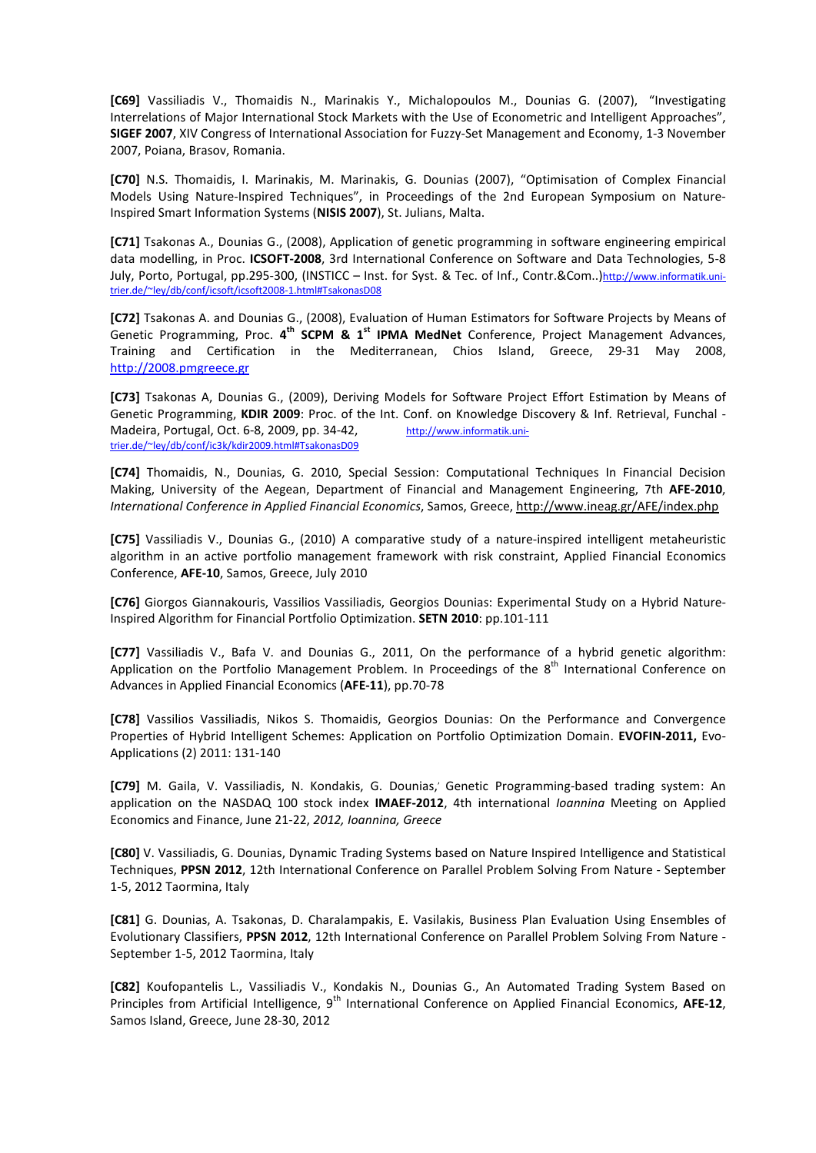**[C69]** Vassiliadis V., Thomaidis N., Marinakis Y., Michalopoulos M., Dounias G. (2007), "Investigating Interrelations of Major International Stock Markets with the Use of Econometric and Intelligent Approaches", **SIGEF 2007**, XIV Congress of International Association for Fuzzy-Set Management and Economy, 1-3 November 2007, Poiana, Brasov, Romania.

**[C70]** N.S. Thomaidis, I. Marinakis, M. Marinakis, G. Dounias (2007), "Optimisation of Complex Financial Models Using Nature-Inspired Techniques", in Proceedings of the 2nd European Symposium on Nature-Inspired Smart Information Systems (**NISIS 2007**), St. Julians, Malta.

**[C71]** Tsakonas A., Dounias G., (2008), Application of genetic programming in software engineering empirical data modelling, in Proc. **ICSOFT-2008**, 3rd International Conference on Software and Data Technologies, 5-8 July, Porto, Portugal, pp.295-300, (INSTICC - Inst. for Syst. & Tec. of Inf., Contr.&Com..)http://www.informatik.unitrier.de/~ley/db/conf/icsoft/icsoft2008-1.html#TsakonasD08

**[C72]** Tsakonas A. and Dounias G., (2008), Evaluation of Human Estimators for Software Projects by Means of Genetic Programming, Proc. 4<sup>th</sup> SCPM & 1<sup>st</sup> IPMA MedNet Conference, Project Management Advances, Training and Certification in the Mediterranean, Chios Island, Greece, 29-31 May 2008, http://2008.pmgreece.gr

**[C73]** Tsakonas A, Dounias G., (2009), Deriving Models for Software Project Effort Estimation by Means of Genetic Programming, **KDIR 2009**: Proc. of the Int. Conf. on Knowledge Discovery & Inf. Retrieval, Funchal - Madeira, Portugal, Oct. 6-8, 2009, pp. 34-42, http://www.informatik.unitrier.de/~ley/db/conf/ic3k/kdir2009.html#TsakonasD09

**[C74]** Thomaidis, N., Dounias, G. 2010, Special Session: Computational Techniques In Financial Decision Making, University of the Aegean, Department of Financial and Management Engineering, 7th **AFE-2010**, *International Conference in Applied Financial Economics*, Samos, Greece, http://www.ineag.gr/AFE/index.php

**[C75]** Vassiliadis V., Dounias G., (2010) A comparative study of a nature-inspired intelligent metaheuristic algorithm in an active portfolio management framework with risk constraint, Applied Financial Economics Conference, **AFE-10**, Samos, Greece, July 2010

**[C76]** Giorgos Giannakouris, Vassilios Vassiliadis, Georgios Dounias: Experimental Study on a Hybrid Nature-Inspired Algorithm for Financial Portfolio Optimization. **SETN 2010**: pp.101-111

**[C77]** Vassiliadis V., Bafa V. and Dounias G., 2011, On the performance of a hybrid genetic algorithm: Application on the Portfolio Management Problem. In Proceedings of the  $8<sup>th</sup>$  International Conference on Advances in Applied Financial Economics (**AFE-11**), pp.70-78

**[C78]** Vassilios Vassiliadis, Nikos S. Thomaidis, Georgios Dounias: On the Performance and Convergence Properties of Hybrid Intelligent Schemes: Application on Portfolio Optimization Domain. **EVOFIN-2011,** Evo-Applications (2) 2011: 131-140

**[C79]** M. Gaila, V. Vassiliadis, N. Kondakis, G. Dounias,, Genetic Programming-based trading system: An application on the NASDAQ 100 stock index **IMAEF-2012**, 4th international *Ioannina* Meeting on Applied Economics and Finance, June 21-22, *2012, Ioannina, Greece*

**[C80]** V. Vassiliadis, G. Dounias, Dynamic Trading Systems based on Nature Inspired Intelligence and Statistical Techniques, **PPSN 2012**, 12th International Conference on Parallel Problem Solving From Nature - September 1-5, 2012 Taormina, Italy

**[C81]** G. Dounias, A. Tsakonas, D. Charalampakis, E. Vasilakis, Business Plan Evaluation Using Ensembles of Evolutionary Classifiers, **PPSN 2012**, 12th International Conference on Parallel Problem Solving From Nature - September 1-5, 2012 Taormina, Italy

**[C82]** Koufopantelis L., Vassiliadis V., Kondakis N., Dounias G., An Automated Trading System Based on Principles from Artificial Intelligence, 9<sup>th</sup> International Conference on Applied Financial Economics, **AFE-12**, Samos Island, Greece, June 28-30, 2012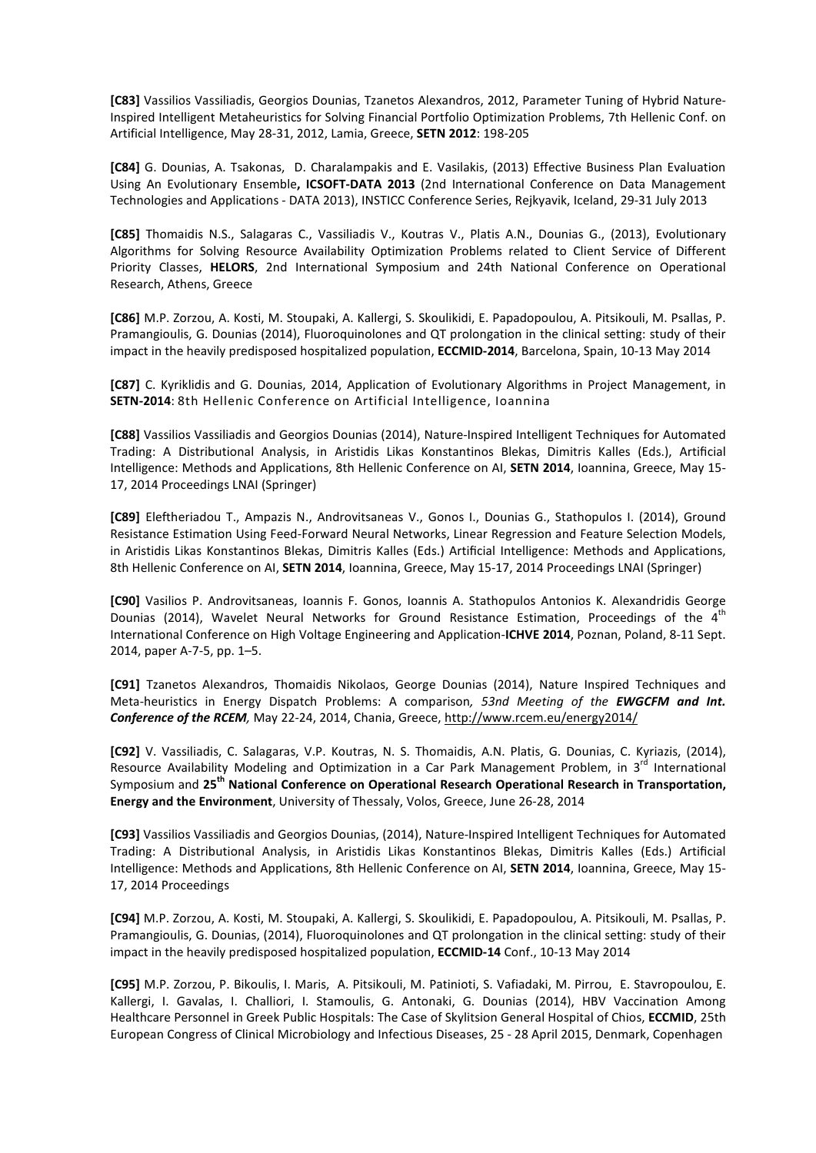**[C83]** Vassilios Vassiliadis, Georgios Dounias, Tzanetos Alexandros, 2012, Parameter Tuning of Hybrid Nature-Inspired Intelligent Metaheuristics for Solving Financial Portfolio Optimization Problems, 7th Hellenic Conf. on Artificial Intelligence, May 28-31, 2012, Lamia, Greece, **SETN 2012**: 198-205

**[C84]** G. Dounias, A. Tsakonas, D. Charalampakis and E. Vasilakis, (2013) Effective Business Plan Evaluation Using An Evolutionary Ensemble**, ICSOFT-DATA 2013** (2nd International Conference on Data Management Technologies and Applications - DATA 2013), INSTICC Conference Series, Rejkyavik, Iceland, 29-31 July 2013

**[C85]** Thomaidis N.S., Salagaras C., Vassiliadis V., Koutras V., Platis A.N., Dounias G., (2013), Evolutionary Algorithms for Solving Resource Availability Optimization Problems related to Client Service of Different Priority Classes, **HELORS**, 2nd International Symposium and 24th National Conference on Operational Research, Athens, Greece

**[C86]** M.P. Zorzou, A. Kosti, M. Stoupaki, A. Kallergi, S. Skoulikidi, E. Papadopoulou, A. Pitsikouli, M. Psallas, P. Pramangioulis, G. Dounias (2014), Fluoroquinolones and QT prolongation in the clinical setting: study of their impact in the heavily predisposed hospitalized population, **ECCMID-2014**, Barcelona, Spain, 10-13 May 2014

**[C87]** C. Kyriklidis and G. Dounias, 2014, Application of Evolutionary Algorithms in Project Management, in **SETN-2014**: 8th Hellenic Conference on Artificial Intelligence, Ioannina

**[C88]** Vassilios Vassiliadis and Georgios Dounias (2014), Nature-Inspired Intelligent Techniques for Automated Trading: A Distributional Analysis, in Aristidis Likas Konstantinos Blekas, Dimitris Kalles (Eds.), Artificial Intelligence: Methods and Applications, 8th Hellenic Conference on AI, **SETN 2014**, Ioannina, Greece, May 15- 17, 2014 Proceedings LNAI (Springer)

**[C89]** Eleftheriadou T., Ampazis N., Androvitsaneas V., Gonos I., Dounias G., Stathopulos I. (2014), Ground Resistance Estimation Using Feed-Forward Neural Networks, Linear Regression and Feature Selection Models, in Aristidis Likas Konstantinos Blekas, Dimitris Kalles (Eds.) Artificial Intelligence: Methods and Applications, 8th Hellenic Conference on AI, **SETN 2014**, Ioannina, Greece, May 15-17, 2014 Proceedings LNAI (Springer)

**[C90]** Vasilios P. Androvitsaneas, Ioannis F. Gonos, Ioannis A. Stathopulos Antonios K. Alexandridis George Dounias (2014), Wavelet Neural Networks for Ground Resistance Estimation, Proceedings of the  $4<sup>th</sup>$ International Conference on High Voltage Engineering and Application-**ICHVE 2014**, Poznan, Poland, 8-11 Sept. 2014, paper A-7-5, pp. 1–5.

**[C91]** Tzanetos Alexandros, Thomaidis Nikolaos, George Dounias (2014), Nature Inspired Techniques and Meta-heuristics in Energy Dispatch Problems: A comparison*, 53nd Meeting of the EWGCFM and Int. Conference of the RCEM,* May 22-24, 2014, Chania, Greece, http://www.rcem.eu/energy2014/

**[C92]** V. Vassiliadis, C. Salagaras, V.P. Koutras, N. S. Thomaidis, A.N. Platis, G. Dounias, C. Kyriazis, (2014), Resource Availability Modeling and Optimization in a Car Park Management Problem, in  $3<sup>rd</sup>$  International Symposium and **25th National Conference on Operational Research Operational Research in Transportation, Energy and the Environment**, University of Thessaly, Volos, Greece, June 26-28, 2014

**[C93]** Vassilios Vassiliadis and Georgios Dounias, (2014), Nature-Inspired Intelligent Techniques for Automated Trading: A Distributional Analysis, in Aristidis Likas Konstantinos Blekas, Dimitris Kalles (Eds.) Artificial Intelligence: Methods and Applications, 8th Hellenic Conference on AI, **SETN 2014**, Ioannina, Greece, May 15- 17, 2014 Proceedings

**[C94]** M.P. Zorzou, A. Kosti, M. Stoupaki, A. Kallergi, S. Skoulikidi, E. Papadopoulou, A. Pitsikouli, M. Psallas, P. Pramangioulis, G. Dounias, (2014), Fluoroquinolones and QT prolongation in the clinical setting: study of their impact in the heavily predisposed hospitalized population, **ECCMID-14** Conf., 10-13 May 2014

**[C95]** M.P. Zorzou, P. Bikoulis, I. Maris, A. Pitsikouli, M. Patinioti, S. Vafiadaki, M. Pirrou, E. Stavropoulou, E. Kallergi, I. Gavalas, I. Challiori, I. Stamoulis, G. Antonaki, G. Dounias (2014), HBV Vaccination Among Healthcare Personnel in Greek Public Hospitals: The Case of Skylitsion General Hospital of Chios, **ECCMID**, 25th European Congress of Clinical Microbiology and Infectious Diseases, 25 - 28 April 2015, Denmark, Copenhagen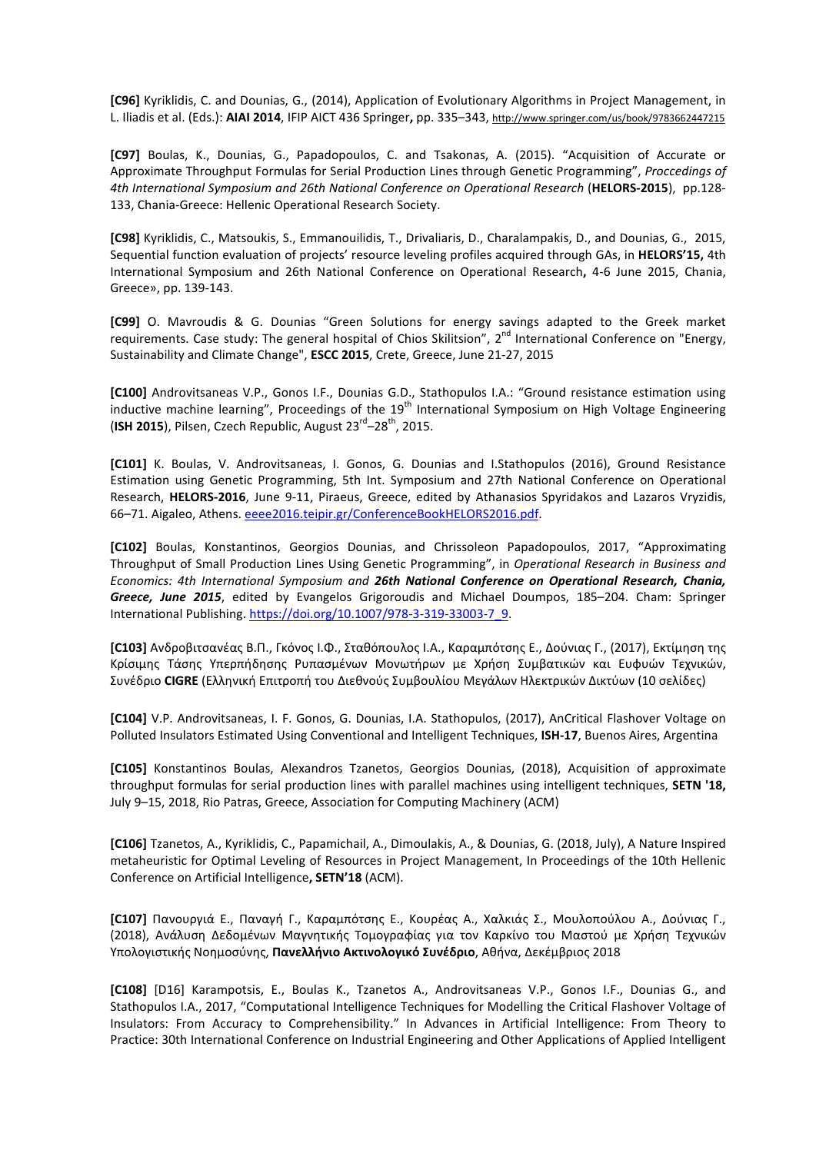**[C96]** Kyriklidis, C. and Dounias, G., (2014), Application of Evolutionary Algorithms in Project Management, in L. Iliadis et al. (Eds.): **AIAI 2014**, IFIP AICT 436 Springer**,** pp. 335–343, http://www.springer.com/us/book/9783662447215

**[C97]** Boulas, K., Dounias, G., Papadopoulos, C. and Tsakonas, A. (2015). "Acquisition of Accurate or Approximate Throughput Formulas for Serial Production Lines through Genetic Programming", *Proccedings of 4th International Symposium and 26th National Conference on Operational Research* (**HELORS-2015**), pp.128- 133, Chania-Greece: Hellenic Operational Research Society.

**[C98]** Kyriklidis, C., Matsoukis, S., Emmanouilidis, T., Drivaliaris, D., Charalampakis, D., and Dounias, G., 2015, Sequential function evaluation of projects' resource leveling profiles acquired through GAs, in **HELORS'15,** 4th International Symposium and 26th National Conference on Operational Research**,** 4-6 June 2015, Chania, Greece», pp. 139-143.

**[C99]** O. Mavroudis & G. Dounias "Green Solutions for energy savings adapted to the Greek market requirements. Case study: The general hospital of Chios Skilitsion", 2<sup>nd</sup> International Conference on "Energy, Sustainability and Climate Change", **ESCC 2015**, Crete, Greece, June 21-27, 2015

**[C100]** Androvitsaneas V.P., Gonos I.F., Dounias G.D., Stathopulos I.A.: "Ground resistance estimation using inductive machine learning", Proceedings of the 19<sup>th</sup> International Symposium on High Voltage Engineering (ISH 2015), Pilsen, Czech Republic, August 23<sup>rd</sup>–28<sup>th</sup>, 2015.

**[C101]** K. Boulas, V. Androvitsaneas, I. Gonos, G. Dounias and I.Stathopulos (2016), Ground Resistance Estimation using Genetic Programming, 5th Int. Symposium and 27th National Conference on Operational Research, **HELORS-2016**, June 9-11, Piraeus, Greece, edited by Athanasios Spyridakos and Lazaros Vryzidis, 66–71. Aigaleo, Athens. eeee2016.teipir.gr/ConferenceBookHELORS2016.pdf.

**[C102]** Boulas, Konstantinos, Georgios Dounias, and Chrissoleon Papadopoulos, 2017, "Approximating Throughput of Small Production Lines Using Genetic Programming", in *Operational Research in Business and Economics: 4th International Symposium and 26th National Conference on Operational Research, Chania, Greece, June 2015*, edited by Evangelos Grigoroudis and Michael Doumpos, 185–204. Cham: Springer International Publishing. https://doi.org/10.1007/978-3-319-33003-7\_9.

**[C103]** Ανδροβιτσανέας Β.Π., Γκόνος Ι.Φ., Σταθόπουλος Ι.Α., Καραμπότσης Ε., Δούνιας Γ., (2017), Εκτίμηση της Κρίσιμης Τάσης Υπερπήδησης Ρυπασμένων Μονωτήρων με Χρήση Συμβατικών και Ευφυών Τεχνικών, Συνέδριο **CIGRE** (Ελληνική Επιτροπή του Διεθνούς Συμβουλίου Μεγάλων Ηλεκτρικών Δικτύων (10 σελίδες)

**[C104]** V.P. Androvitsaneas, I. F. Gonos, G. Dounias, I.A. Stathopulos, (2017), AnCritical Flashover Voltage on Polluted Insulators Estimated Using Conventional and Intelligent Techniques, **ISH-17**, Buenos Aires, Argentina

**[C105]** Konstantinos Boulas, Alexandros Tzanetos, Georgios Dounias, (2018), Acquisition of approximate throughput formulas for serial production lines with parallel machines using intelligent techniques, **SETN '18,** July 9–15, 2018, Rio Patras, Greece, Association for Computing Machinery (ACM)

**[C106]** Tzanetos, A., Kyriklidis, C., Papamichail, A., Dimoulakis, A., & Dounias, G. (2018, July), A Nature Inspired metaheuristic for Optimal Leveling of Resources in Project Management, In Proceedings of the 10th Hellenic Conference on Artificial Intelligence**, SETN'18** (ACM).

**[C107]** Πανουργιά Ε., Παναγή Γ., Καραμπότσης Ε., Κουρέας Α., Χαλκιάς Σ., Μουλοπούλου Α., Δούνιας Γ., (2018), Ανάλυση Δεδομένων Μαγνητικής Τομογραφίας για τον Καρκίνο του Μαστού με Xρήση Τεχνικών Υπολογιστικής Νοημοσύνης, **Πανελλήνιο Ακτινολογικό Συνέδριο**, Αθήνα, Δεκέμβριος 2018

**[C108]** [D16] Karampotsis, E., Boulas K., Tzanetos A., Androvitsaneas V.P., Gonos I.F., Dounias G., and Stathopulos I.A., 2017, "Computational Intelligence Techniques for Modelling the Critical Flashover Voltage of Insulators: From Accuracy to Comprehensibility." In Advances in Artificial Intelligence: From Theory to Practice: 30th International Conference on Industrial Engineering and Other Applications of Applied Intelligent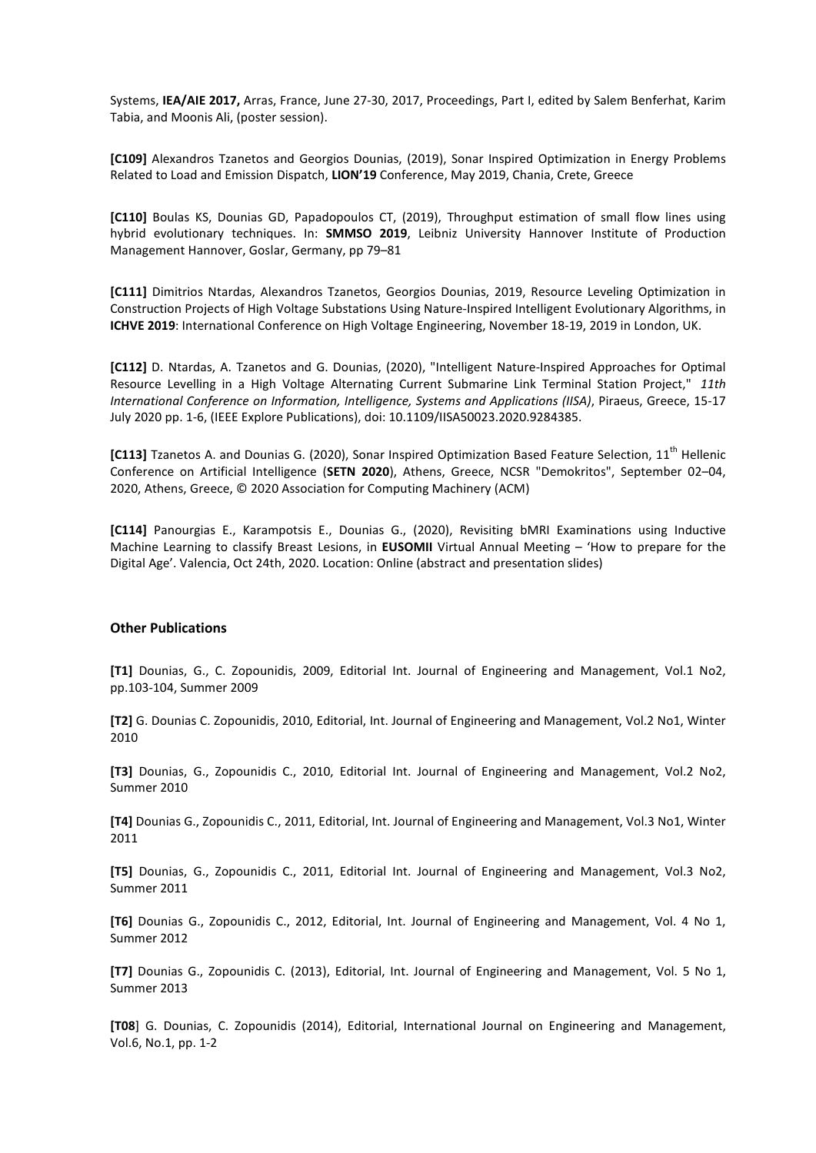Systems, **IEA/AIE 2017,** Arras, France, June 27-30, 2017, Proceedings, Part I, edited by Salem Benferhat, Karim Tabia, and Moonis Ali, (poster session).

**[C109]** Alexandros Tzanetos and Georgios Dounias, (2019), Sonar Inspired Optimization in Energy Problems Related to Load and Emission Dispatch, **LION'19** Conference, May 2019, Chania, Crete, Greece

**[C110]** Boulas KS, Dounias GD, Papadopoulos CT, (2019), Throughput estimation of small flow lines using hybrid evolutionary techniques. In: **SMMSO 2019**, Leibniz University Hannover Institute of Production Management Hannover, Goslar, Germany, pp 79–81

**[C111]** Dimitrios Ntardas, Alexandros Tzanetos, Georgios Dounias, 2019, Resource Leveling Optimization in Construction Projects of High Voltage Substations Using Nature-Inspired Intelligent Evolutionary Algorithms, in **ICHVE 2019**: International Conference on High Voltage Engineering, November 18-19, 2019 in London, UK.

**[C112]** D. Ntardas, A. Tzanetos and G. Dounias, (2020), "Intelligent Nature-Inspired Approaches for Optimal Resource Levelling in a High Voltage Alternating Current Submarine Link Terminal Station Project," *11th International Conference on Information, Intelligence, Systems and Applications (IISA)*, Piraeus, Greece, 15-17 July 2020 pp. 1-6, (IEEE Explore Publications), doi: 10.1109/IISA50023.2020.9284385.

**[C113]** Tzanetos A. and Dounias G. (2020), Sonar Inspired Optimization Based Feature Selection, 11<sup>th</sup> Hellenic Conference on Artificial Intelligence (**SETN 2020**), Athens, Greece, NCSR "Demokritos", September 02–04, 2020, Athens, Greece, © 2020 Association for Computing Machinery (ACM)

**[C114]** Panourgias E., Karampotsis E., Dounias G., (2020), Revisiting bMRI Examinations using Inductive Machine Learning to classify Breast Lesions, in **EUSOMII** Virtual Annual Meeting – 'How to prepare for the Digital Age'. Valencia, Oct 24th, 2020. Location: Online (abstract and presentation slides)

#### **Other Publications**

**[Τ1]** Dounias, G., C. Zopounidis, 2009, Editorial Int. Journal of Engineering and Management, Vol.1 No2, pp.103-104, Summer 2009

**[Τ2]** G. Dounias C. Zopounidis, 2010, Editorial, Int. Journal of Engineering and Management, Vol.2 No1, Winter 2010

**[Τ3]** Dounias, G., Zopounidis C., 2010, Editorial Int. Journal of Engineering and Management, Vol.2 No2, Summer 2010

**[Τ4]** Dounias G., Zopounidis C., 2011, Editorial, Int. Journal of Engineering and Management, Vol.3 No1, Winter 2011

**[Τ5]** Dounias, G., Zopounidis C., 2011, Editorial Int. Journal of Engineering and Management, Vol.3 No2, Summer 2011

**[Τ6]** Dounias G., Zopounidis C., 2012, Editorial, Int. Journal of Engineering and Management, Vol. 4 No 1, Summer 2012

**[Τ7]** Dounias G., Zopounidis C. (2013), Editorial, Int. Journal of Engineering and Management, Vol. 5 No 1, Summer 2013

**[T08**] G. Dounias, C. Zopounidis (2014), Editorial, International Journal on Engineering and Management, Vol.6, No.1, pp. 1-2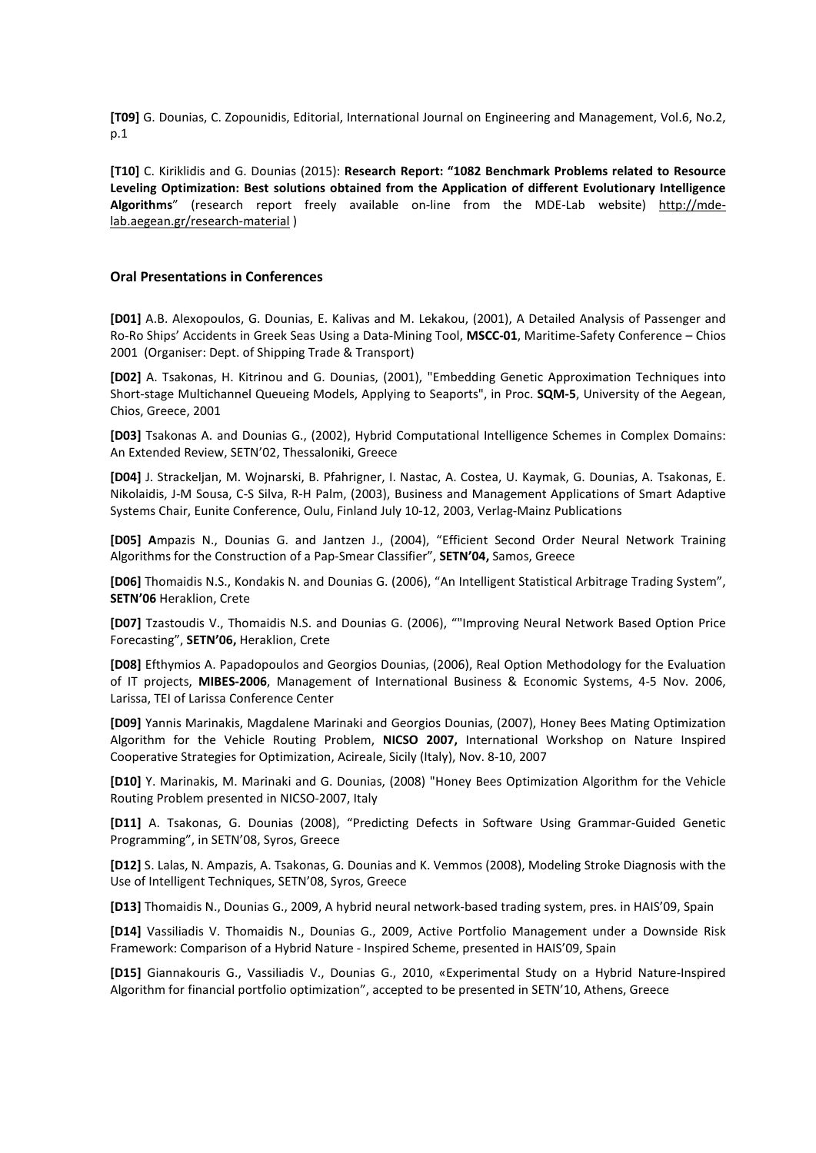**[T09]** G. Dounias, C. Zopounidis, Editorial, International Journal on Engineering and Management, Vol.6, No.2, p.1

**[T10]** C. Kiriklidis and G. Dounias (2015): **Research Report: "1082 Benchmark Problems related to Resource Leveling Optimization: Best solutions obtained from the Application of different Evolutionary Intelligence Algorithms**" (research report freely available on-line from the MDE-Lab website) http://mdelab.aegean.gr/research-material )

#### **Oral Presentations in Conferences**

**[D01]** A.B. Alexopoulos, G. Dounias, E. Kalivas and M. Lekakou, (2001), A Detailed Analysis of Passenger and Ro-Ro Ships' Accidents in Greek Seas Using a Data-Mining Tool, **MSCC-01**, Maritime-Safety Conference – Chios 2001 (Organiser: Dept. of Shipping Trade & Transport)

**[D02]** A. Tsakonas, H. Kitrinou and G. Dounias, (2001), "Embedding Genetic Approximation Techniques into Short-stage Multichannel Queueing Models, Applying to Seaports", in Proc. **SQM-5**, University of the Aegean, Chios, Greece, 2001

**[D03]** Tsakonas Α. and Dounias G., (2002), Hybrid Computational Intelligence Schemes in Complex Domains: An Extended Review, SETN'02, Thessaloniki, Greece

**[D04]** J. Strackeljan, M. Wojnarski, B. Pfahrigner, I. Nastac, A. Costea, U. Kaymak, G. Dounias, A. Tsakonas, E. Nikolaidis, J-M Sousa, C-S Silva, R-H Palm, (2003), Business and Management Applications of Smart Adaptive Systems Chair, Eunite Conference, Oulu, Finland July 10-12, 2003, Verlag-Mainz Publications

**[D05] A**mpazis N., Dounias G. and Jantzen J., (2004), "Efficient Second Order Neural Network Training Algorithms for the Construction of a Pap-Smear Classifier", **SETN'04,** Samos, Greece

**[D06]** Thomaidis N.S., Kondakis N. and Dounias G. (2006), "An Ιntelligent Statistical Arbitrage Trading System", **SETN'06** Heraklion, Crete

**[D07]** Tzastoudis V., Thomaidis N.S. and Dounias G. (2006), ""Improving Neural Network Based Option Price Forecasting", **SETN'06,** Heraklion, Crete

**[D08]** Efthymios A. Papadopoulos and Georgios Dounias, (2006), Real Option Methodology for the Evaluation of IT projects, **MIBES-2006**, Management of International Business & Economic Systems, 4-5 Nov. 2006, Larissa, TEI of Larissa Conference Center

**[D09]** Yannis Marinakis, Magdalene Marinaki and Georgios Dounias, (2007), Honey Bees Mating Optimization Algorithm for the Vehicle Routing Problem, **NICSO 2007,** International Workshop on Nature Inspired Cooperative Strategies for Optimization, Acireale, Sicily (Italy), Nov. 8-10, 2007

**[D10]** Y. Marinakis, M. Marinaki and G. Dounias, (2008) "Honey Bees Optimization Algorithm for the Vehicle Routing Problem presented in NICSO-2007, Italy

**[D11]** A. Tsakonas, G. Dounias (2008), "Predicting Defects in Software Using Grammar-Guided Genetic Programming", in SETN'08, Syros, Greece

**[D12]** S. Lalas, N. Ampazis, A. Tsakonas, G. Dounias and K. Vemmos (2008), Modeling Stroke Diagnosis with the Use of Intelligent Techniques, SETN'08, Syros, Greece

**[D13]** Thomaidis N., Dounias G., 2009, A hybrid neural network-based trading system, pres. in HAIS'09, Spain

**[D14]** Vassiliadis V. Thomaidis N., Dounias G., 2009, Active Portfolio Management under a Downside Risk Framework: Comparison of a Hybrid Nature - Inspired Scheme, presented in HAIS'09, Spain

**[D15]** Giannakouris G., Vassiliadis V., Dounias G., 2010, «Experimental Study on a Hybrid Nature-Inspired Algorithm for financial portfolio optimization", accepted to be presented in SETN'10, Athens, Greece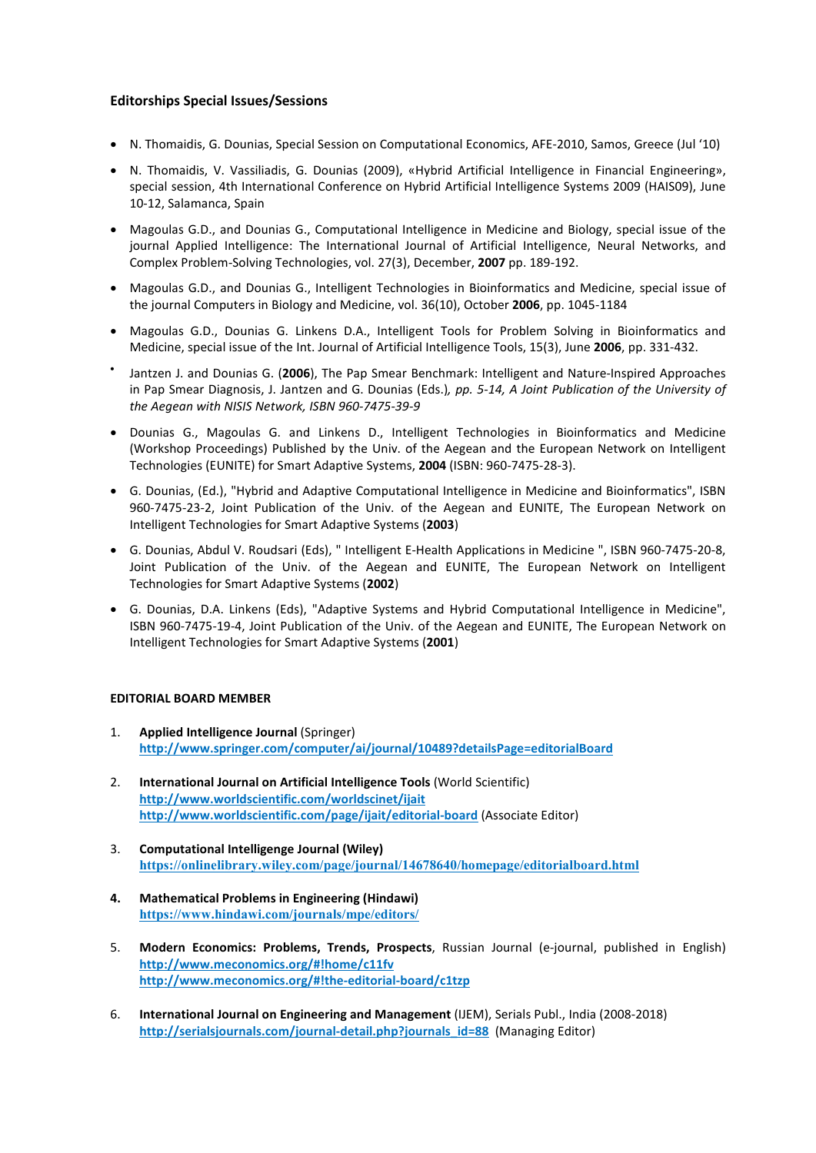# **Editorships Special Issues/Sessions**

- N. Thomaidis, G. Dounias, Special Session on Computational Economics, AFE-2010, Samos, Greece (Jul '10)
- N. Thomaidis, V. Vassiliadis, G. Dounias (2009), «Hybrid Artificial Intelligence in Financial Engineering», special session, 4th International Conference on Hybrid Artificial Intelligence Systems 2009 (HAIS09), June 10-12, Salamanca, Spain
- Magoulas G.D., and Dounias G., Computational Intelligence in Medicine and Biology, special issue of the journal Applied Intelligence: The International Journal of Artificial Intelligence, Neural Networks, and Complex Problem-Solving Technologies, vol. 27(3), December, **2007** pp. 189-192.
- Magoulas G.D., and Dounias G., Intelligent Technologies in Bioinformatics and Medicine, special issue of the journal Computers in Biology and Medicine, vol. 36(10), October **2006**, pp. 1045-1184
- Magoulas G.D., Dounias G. Linkens D.A., Intelligent Tools for Problem Solving in Bioinformatics and Medicine, special issue of the Int. Journal of Artificial Intelligence Tools, 15(3), June **2006**, pp. 331-432.
- Jantzen J. and Dounias G. (**2006**), The Pap Smear Benchmark: Intelligent and Nature-Inspired Approaches in Pap Smear Diagnosis, J. Jantzen and G. Dounias (Eds.)*, pp. 5-14, A Joint Publication of the University of the Aegean with NISIS Network, ISBN 960-7475-39-9*
- Dounias G., Magoulas G. and Linkens D., Intelligent Technologies in Bioinformatics and Medicine (Workshop Proceedings) Published by the Univ. of the Aegean and the European Network on Intelligent Technologies (EUNITE) for Smart Adaptive Systems, **2004** (ISBN: 960-7475-28-3).
- G. Dounias, (Ed.), "Hybrid and Adaptive Computational Intelligence in Medicine and Bioinformatics", ISBN 960-7475-23-2, Joint Publication of the Univ. of the Aegean and EUNITE, The European Network on Intelligent Technologies for Smart Adaptive Systems (**2003**)
- G. Dounias, Abdul V. Roudsari (Eds), " Intelligent E-Health Applications in Medicine ", ISBN 960-7475-20-8, Joint Publication of the Univ. of the Aegean and EUNITE, The European Network on Intelligent Technologies for Smart Adaptive Systems (**2002**)
- G. Dounias, D.A. Linkens (Eds), "Adaptive Systems and Hybrid Computational Intelligence in Medicine", ISBN 960-7475-19-4, Joint Publication of the Univ. of the Aegean and EUNITE, The European Network on Intelligent Technologies for Smart Adaptive Systems (**2001**)

### **EDITORIAL BOARD MEMBER**

- 1. **Applied Intelligence Journal** (Springer) **http://www.springer.com/computer/ai/journal/10489?detailsPage=editorialBoard**
- 2. **International Journal on Artificial Intelligence Tools** (World Scientific) **http://www.worldscientific.com/worldscinet/ijait http://www.worldscientific.com/page/ijait/editorial-board** (Associate Editor)
- 3. **Computational Intelligenge Journal (Wiley) https://onlinelibrary.wiley.com/page/journal/14678640/homepage/editorialboard.html**
- **4. Mathematical Problems in Engineering (Hindawi) https://www.hindawi.com/journals/mpe/editors/**
- 5. **Modern Economics: Problems, Trends, Prospects**, Russian Journal (e-journal, published in English) **http://www.meconomics.org/#!home/c11fv http://www.meconomics.org/#!the-editorial-board/c1tzp**
- 6. **International Journal on Engineering and Management** (IJEM), Serials Publ., India (2008-2018) **http://serialsjournals.com/journal-detail.php?journals\_id=88** (Managing Editor)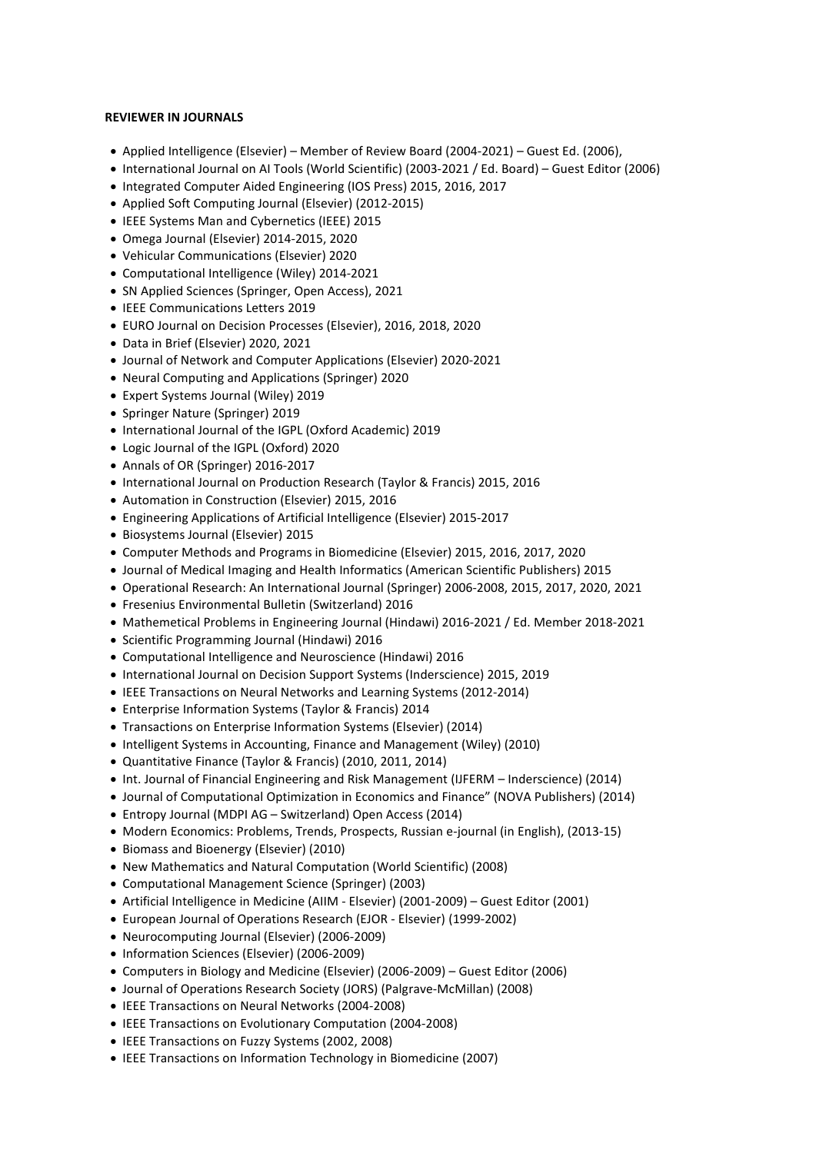### **REVIEWER IN JOURNALS**

- Applied Intelligence (Elsevier) Member of Review Board (2004-2021) Guest Ed. (2006),
- International Journal on AI Tools (World Scientific) (2003-2021 / Ed. Board) Guest Editor (2006)
- Integrated Computer Aided Engineering (IOS Press) 2015, 2016, 2017
- Applied Soft Computing Journal (Elsevier) (2012-2015)
- IEEE Systems Man and Cybernetics (IEEE) 2015
- Omega Journal (Elsevier) 2014-2015, 2020
- Vehicular Communications (Elsevier) 2020
- Computational Intelligence (Wiley) 2014-2021
- SN Applied Sciences (Springer, Open Access), 2021
- IEEE Communications Letters 2019
- EURO Journal on Decision Processes (Elsevier), 2016, 2018, 2020
- Data in Brief (Elsevier) 2020, 2021
- Journal of Network and Computer Applications (Elsevier) 2020-2021
- Neural Computing and Applications (Springer) 2020
- Expert Systems Journal (Wiley) 2019
- Springer Nature (Springer) 2019
- International Journal of the IGPL (Oxford Academic) 2019
- Logic Journal of the IGPL (Oxford) 2020
- Annals of OR (Springer) 2016-2017
- International Journal on Production Research (Taylor & Francis) 2015, 2016
- Automation in Construction (Elsevier) 2015, 2016
- Engineering Applications of Artificial Intelligence (Elsevier) 2015-2017
- Biosystems Journal (Elsevier) 2015
- Computer Methods and Programs in Biomedicine (Elsevier) 2015, 2016, 2017, 2020
- Journal of Medical Imaging and Health Informatics (American Scientific Publishers) 2015
- Operational Research: An International Journal (Springer) 2006-2008, 2015, 2017, 2020, 2021
- Fresenius Environmental Bulletin (Switzerland) 2016
- Mathemetical Problems in Engineering Journal (Hindawi) 2016-2021 / Ed. Member 2018-2021
- Scientific Programming Journal (Hindawi) 2016
- Computational Intelligence and Neuroscience (Hindawi) 2016
- International Journal on Decision Support Systems (Inderscience) 2015, 2019
- IEEE Transactions on Neural Networks and Learning Systems (2012-2014)
- Enterprise Information Systems (Taylor & Francis) 2014
- Transactions on Enterprise Information Systems (Elsevier) (2014)
- Intelligent Systems in Accounting, Finance and Management (Wiley) (2010)
- Quantitative Finance (Taylor & Francis) (2010, 2011, 2014)
- Int. Journal of Financial Engineering and Risk Management (IJFERM Inderscience) (2014)
- Journal of Computational Optimization in Economics and Finance" (NOVA Publishers) (2014)
- Entropy Journal (MDPI AG Switzerland) Open Access (2014)
- Modern Economics: Problems, Trends, Prospects, Russian e-journal (in English), (2013-15)
- Biomass and Bioenergy (Elsevier) (2010)
- New Mathematics and Natural Computation (World Scientific) (2008)
- Computational Management Science (Springer) (2003)
- Artificial Intelligence in Medicine (AIIM Elsevier) (2001-2009) Guest Editor (2001)
- European Journal of Operations Research (EJOR Elsevier) (1999-2002)
- Neurocomputing Journal (Elsevier) (2006-2009)
- Information Sciences (Elsevier) (2006-2009)
- Computers in Biology and Medicine (Elsevier) (2006-2009) Guest Editor (2006)
- Journal of Operations Research Society (JORS) (Palgrave-McMillan) (2008)
- IEEE Transactions on Neural Networks (2004-2008)
- IEEE Transactions on Evolutionary Computation (2004-2008)
- IEEE Transactions on Fuzzy Systems (2002, 2008)
- IEEE Transactions on Information Technology in Biomedicine (2007)